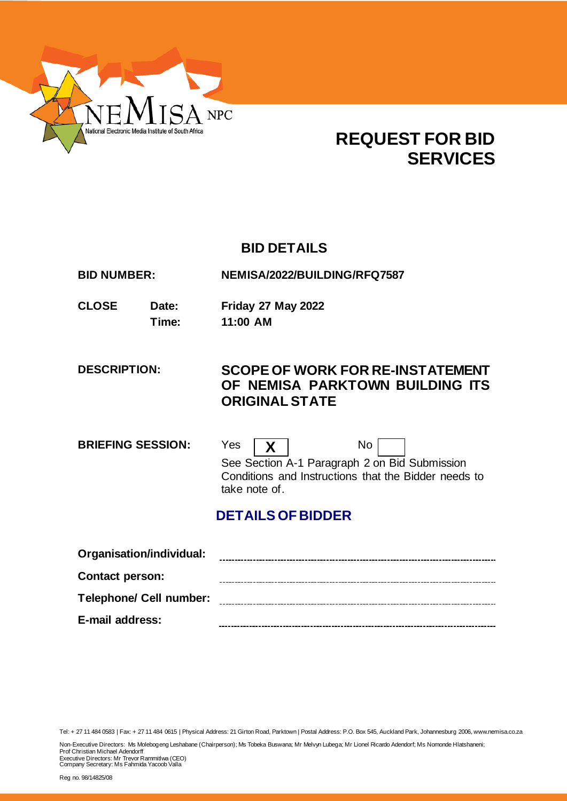

# **REQUEST FOR BID SERVICES**

# **BID DETAILS**

### **BID NUMBER: NEMISA/2022/BUILDING/RFQ7587**

**CLOSE Date: Friday 27 May 2022**

**Time: 11:00 AM**

# **DESCRIPTION: SCOPE OF WORK FOR RE-INSTATEMENT OF NEMISA PARKTOWN BUILDING ITS ORIGINAL STATE**

**BRIEFING SESSION:** Yes **X** No



See Section A-1 Paragraph 2 on Bid Submission Conditions and Instructions that the Bidder needs to take note of.

# **DETAILS OF BIDDER**

| Organisation/individual:       |  |
|--------------------------------|--|
| <b>Contact person:</b>         |  |
| <b>Telephone/ Cell number:</b> |  |
| E-mail address:                |  |

Tel: + 27 11 484 0583 | Fax: + 27 11 484 0615 | Physical Address: 21 Girton Road, Parktown | Postal Address: P.O. Box 545, Auckland Park, Johannesburg 2006, www.nemisa.co.za

Non-Executive Directors: Ms Molebogeng Leshabane (Chairperson); Ms Tobeka Buswana; Mr Melvyn Lubega; Mr Lionel Ricardo Adendorf; Ms Nomonde Hlatshaneni;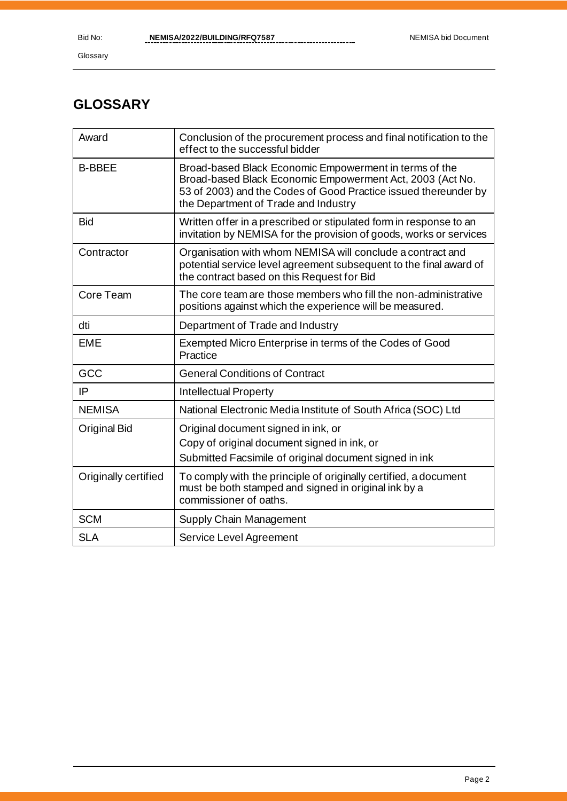# **GLOSSARY**

| Award                | Conclusion of the procurement process and final notification to the<br>effect to the successful bidder                                                                                                                         |
|----------------------|--------------------------------------------------------------------------------------------------------------------------------------------------------------------------------------------------------------------------------|
| <b>B-BBEE</b>        | Broad-based Black Economic Empowerment in terms of the<br>Broad-based Black Economic Empowerment Act, 2003 (Act No.<br>53 of 2003) and the Codes of Good Practice issued thereunder by<br>the Department of Trade and Industry |
| <b>Bid</b>           | Written offer in a prescribed or stipulated form in response to an<br>invitation by NEMISA for the provision of goods, works or services                                                                                       |
| Contractor           | Organisation with whom NEMISA will conclude a contract and<br>potential service level agreement subsequent to the final award of<br>the contract based on this Request for Bid                                                 |
| Core Team            | The core team are those members who fill the non-administrative<br>positions against which the experience will be measured.                                                                                                    |
| dti                  | Department of Trade and Industry                                                                                                                                                                                               |
| <b>EME</b>           | Exempted Micro Enterprise in terms of the Codes of Good<br>Practice                                                                                                                                                            |
| GCC                  | <b>General Conditions of Contract</b>                                                                                                                                                                                          |
| IP                   | <b>Intellectual Property</b>                                                                                                                                                                                                   |
| <b>NEMISA</b>        | National Electronic Media Institute of South Africa (SOC) Ltd                                                                                                                                                                  |
| <b>Original Bid</b>  | Original document signed in ink, or<br>Copy of original document signed in ink, or<br>Submitted Facsimile of original document signed in ink                                                                                   |
| Originally certified | To comply with the principle of originally certified, a document<br>must be both stamped and signed in original ink by a<br>commissioner of oaths.                                                                             |
| <b>SCM</b>           | Supply Chain Management                                                                                                                                                                                                        |
| <b>SLA</b>           | Service Level Agreement                                                                                                                                                                                                        |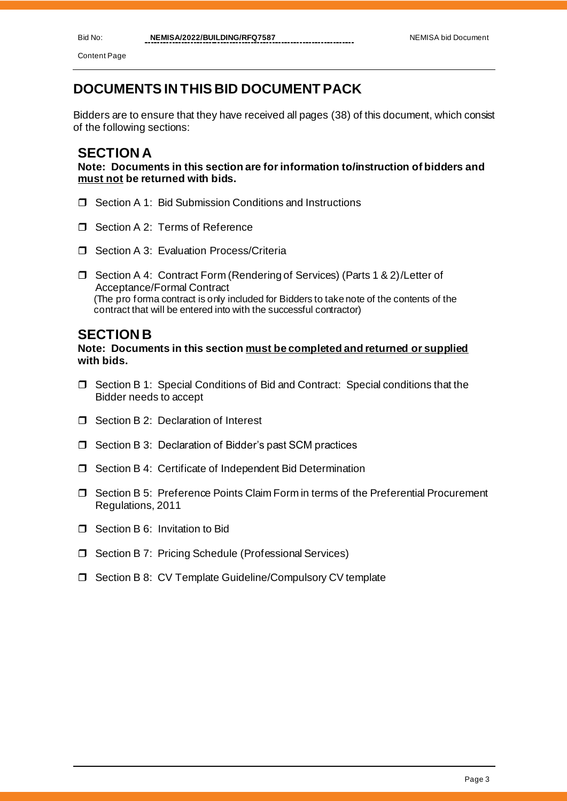Content Page

# **DOCUMENTS IN THIS BID DOCUMENT PACK**

Bidders are to ensure that they have received all pages (38) of this document, which consist of the following sections:

## **SECTION A**

**Note: Documents in this section are for information to/instruction of bidders and must not be returned with bids.**

- □ Section A 1: Bid Submission Conditions and Instructions
- Section A 2: Terms of Reference
- **D** Section A 3: Evaluation Process/Criteria
- □ Section A 4: Contract Form (Rendering of Services) (Parts 1 & 2)/Letter of Acceptance/Formal Contract (The pro forma contract is only included for Bidders to take note of the contents of the contract that will be entered into with the successful contractor)

## **SECTION B**

### **Note: Documents in this section must be completed and returned or supplied with bids.**

- $\Box$  Section B 1: Special Conditions of Bid and Contract: Special conditions that the Bidder needs to accept
- □ Section B 2: Declaration of Interest
- $\Box$  Section B 3: Declaration of Bidder's past SCM practices
- □ Section B 4: Certificate of Independent Bid Determination
- $\Box$  Section B 5: Preference Points Claim Form in terms of the Preferential Procurement Regulations, 2011
- □ Section B 6: Invitation to Bid
- □ Section B 7: Pricing Schedule (Professional Services)
- □ Section B 8: CV Template Guideline/Compulsory CV template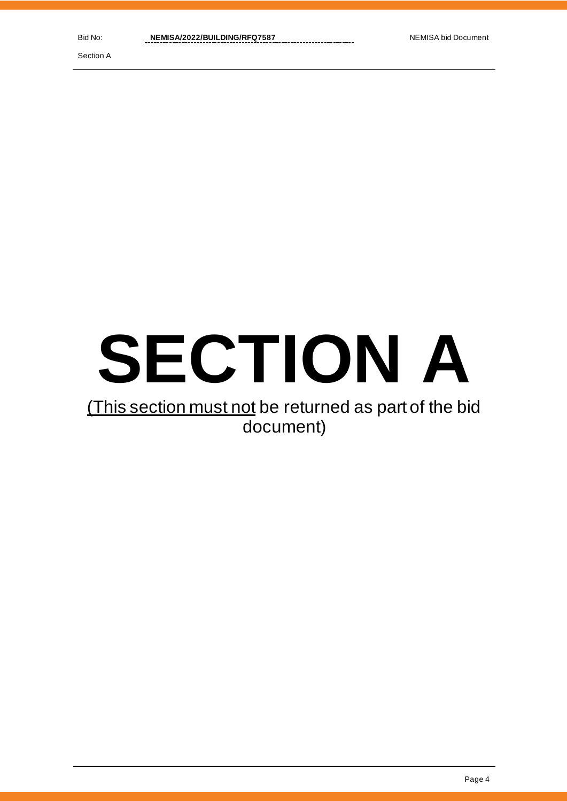Section A

# **SECTION A**

# (This section must not be returned as part of the bid document)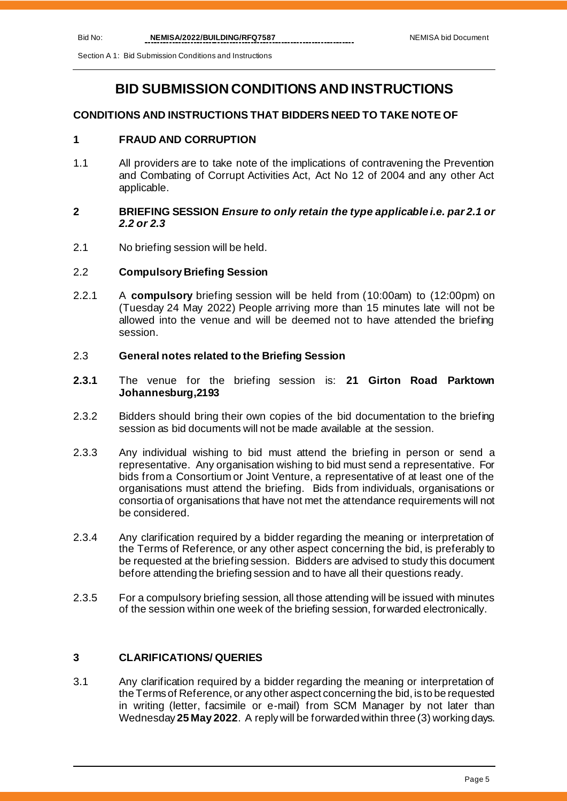# **BID SUBMISSION CONDITIONS AND INSTRUCTIONS**

### **CONDITIONS AND INSTRUCTIONS THAT BIDDERS NEED TO TAKE NOTE OF**

### **1 FRAUD AND CORRUPTION**

1.1 All providers are to take note of the implications of contravening the Prevention and Combating of Corrupt Activities Act, Act No 12 of 2004 and any other Act applicable.

### **2 BRIEFING SESSION** *Ensure to only retain the type applicable i.e. par 2.1 or 2.2 or 2.3*

2.1 No briefing session will be held.

### 2.2 **Compulsory Briefing Session**

2.2.1 A **compulsory** briefing session will be held from (10:00am) to (12:00pm) on (Tuesday 24 May 2022) People arriving more than 15 minutes late will not be allowed into the venue and will be deemed not to have attended the briefing session.

### 2.3 **General notes related to the Briefing Session**

- **2.3.1** The venue for the briefing session is: **21 Girton Road Parktown Johannesburg,2193**
- 2.3.2 Bidders should bring their own copies of the bid documentation to the briefing session as bid documents will not be made available at the session.
- 2.3.3 Any individual wishing to bid must attend the briefing in person or send a representative. Any organisation wishing to bid must send a representative. For bids from a Consortium or Joint Venture, a representative of at least one of the organisations must attend the briefing. Bids from individuals, organisations or consortia of organisations that have not met the attendance requirements will not be considered.
- 2.3.4 Any clarification required by a bidder regarding the meaning or interpretation of the Terms of Reference, or any other aspect concerning the bid, is preferably to be requested at the briefing session. Bidders are advised to study this document before attending the briefing session and to have all their questions ready.
- 2.3.5 For a compulsory briefing session, all those attending will be issued with minutes of the session within one week of the briefing session, forwarded electronically.

### **3 CLARIFICATIONS/ QUERIES**

3.1 Any clarification required by a bidder regarding the meaning or interpretation of the Terms of Reference, or any other aspect concerning the bid, is to be requested in writing (letter, facsimile or e-mail) from SCM Manager by not later than Wednesday **25 May 2022**. A reply will be forwarded within three (3) working days.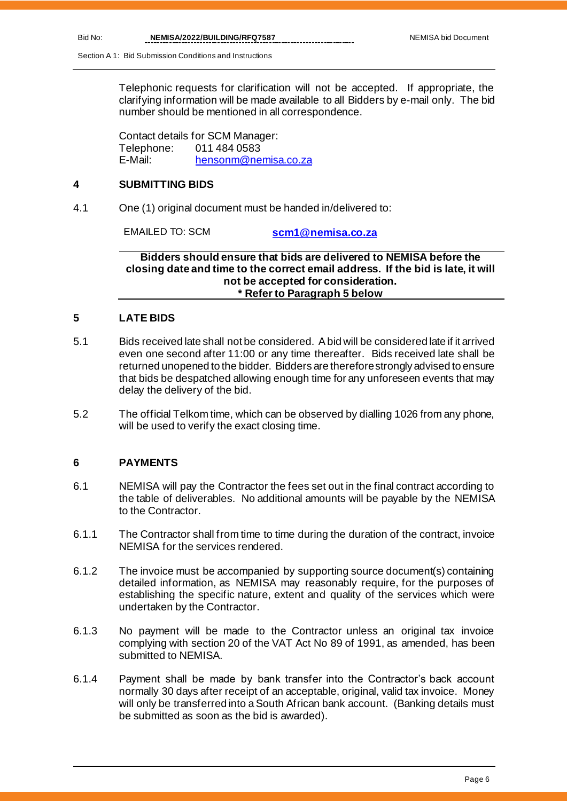Telephonic requests for clarification will not be accepted. If appropriate, the clarifying information will be made available to all Bidders by e-mail only. The bid number should be mentioned in all correspondence.

Contact details for SCM Manager: Telephone: 011 484 0583 E-Mail: [hensonm@nemisa.co.za](mailto:hensonm@nemisa.co.za)

### **4 SUBMITTING BIDS**

4.1 One (1) original document must be handed in/delivered to:

EMAILED TO: SCM **[scm1@nemisa.co.za](mailto:scm1@nemisa.co.za)**

**Bidders should ensure that bids are delivered to NEMISA before the closing date and time to the correct email address. If the bid is late, it will not be accepted for consideration. \* Refer to Paragraph 5 below**

### **5 LATE BIDS**

- 5.1 Bids received late shall not be considered. A bid will be considered late if it arrived even one second after 11:00 or any time thereafter. Bids received late shall be returned unopened to the bidder. Bidders are therefore strongly advised to ensure that bids be despatched allowing enough time for any unforeseen events that may delay the delivery of the bid.
- 5.2 The official Telkom time, which can be observed by dialling 1026 from any phone, will be used to verify the exact closing time.

### **6 PAYMENTS**

- 6.1 NEMISA will pay the Contractor the fees set out in the final contract according to the table of deliverables. No additional amounts will be payable by the NEMISA to the Contractor.
- 6.1.1 The Contractor shall from time to time during the duration of the contract, invoice NEMISA for the services rendered.
- 6.1.2 The invoice must be accompanied by supporting source document(s) containing detailed information, as NEMISA may reasonably require, for the purposes of establishing the specific nature, extent and quality of the services which were undertaken by the Contractor.
- 6.1.3 No payment will be made to the Contractor unless an original tax invoice complying with section 20 of the VAT Act No 89 of 1991, as amended, has been submitted to NEMISA.
- 6.1.4 Payment shall be made by bank transfer into the Contractor's back account normally 30 days after receipt of an acceptable, original, valid tax invoice. Money will only be transferred into a South African bank account. (Banking details must be submitted as soon as the bid is awarded).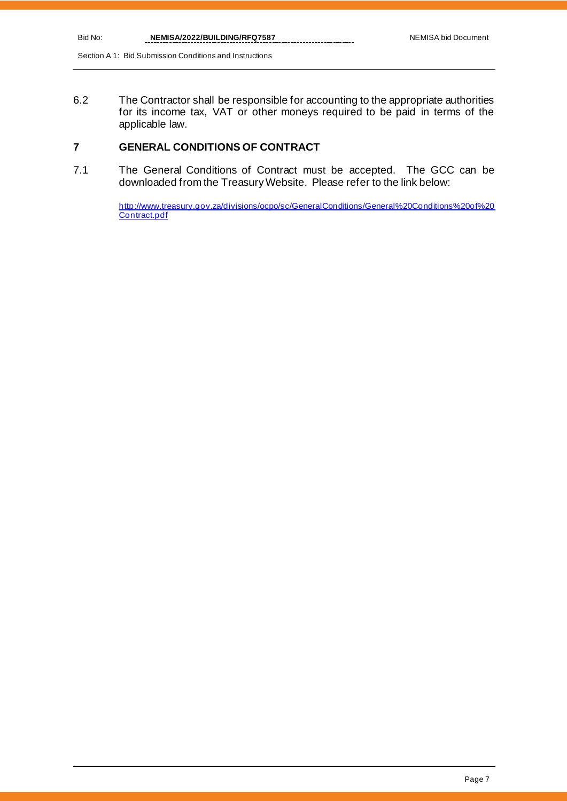6.2 The Contractor shall be responsible for accounting to the appropriate authorities for its income tax, VAT or other moneys required to be paid in terms of the applicable law.

### **7 GENERAL CONDITIONS OF CONTRACT**

7.1 The General Conditions of Contract must be accepted. The GCC can be downloaded from the Treasury Website. Please refer to the link below:

> [http://www.treasury.gov.za/divisions/ocpo/sc/GeneralConditions/General%20Conditions%20of%20](http://www.treasury.gov.za/divisions/ocpo/sc/GeneralConditions/General%20Conditions%20of%20Contract.pdf) [Contract.pdf](http://www.treasury.gov.za/divisions/ocpo/sc/GeneralConditions/General%20Conditions%20of%20Contract.pdf)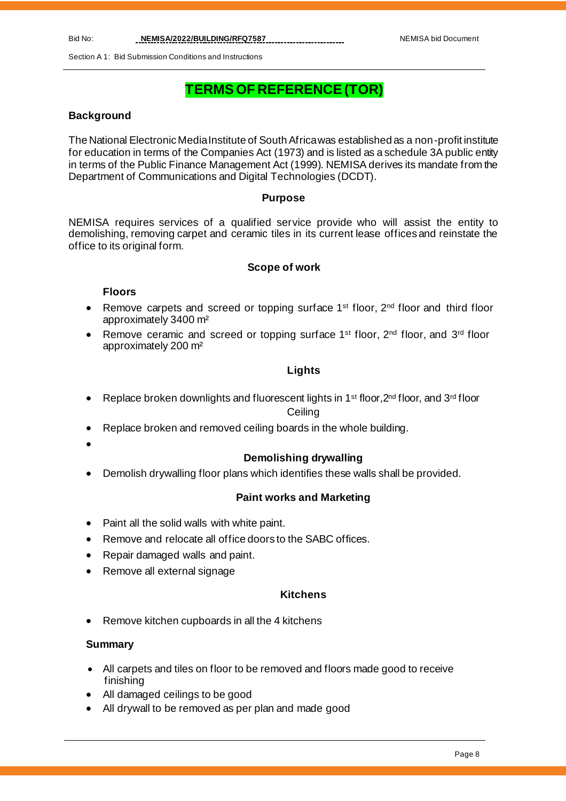Bid No: **NEMISA/2022/BUILDING/RFQ7587** NEMISA bid Document

Section A 1: Bid Submission Conditions and Instructions

# **TERMS OF REFERENCE (TOR)**

### **Background**

The National Electronic Media Institute of South Africa was established as a non-profit institute for education in terms of the Companies Act (1973) and is listed as a schedule 3A public entity in terms of the Public Finance Management Act (1999). NEMISA derives its mandate from the Department of Communications and Digital Technologies (DCDT).

### **Purpose**

NEMISA requires services of a qualified service provide who will assist the entity to demolishing, removing carpet and ceramic tiles in its current lease offices and reinstate the office to its original form.

### **Scope of work**

### **Floors**

- Remove carpets and screed or topping surface 1<sup>st</sup> floor, 2<sup>nd</sup> floor and third floor approximately 3400 m²
- Remove ceramic and screed or topping surface 1<sup>st</sup> floor, 2<sup>nd</sup> floor, and 3<sup>rd</sup> floor approximately 200 m²

### **Lights**

- Replace broken downlights and fluorescent lights in 1<sup>st</sup> floor, 2<sup>nd</sup> floor, and 3<sup>rd</sup> floor **Ceiling**
- Replace broken and removed ceiling boards in the whole building.
- •

### **Demolishing drywalling**

• Demolish drywalling floor plans which identifies these walls shall be provided.

### **Paint works and Marketing**

- Paint all the solid walls with white paint.
- Remove and relocate all office doors to the SABC offices.
- Repair damaged walls and paint.
- Remove all external signage

### **Kitchens**

Remove kitchen cupboards in all the 4 kitchens

### **Summary**

- All carpets and tiles on floor to be removed and floors made good to receive finishing
- All damaged ceilings to be good
- All drywall to be removed as per plan and made good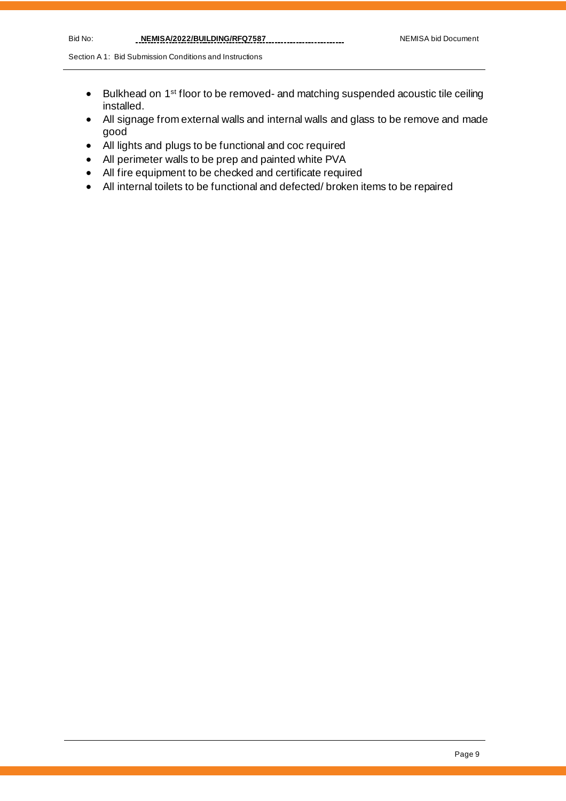- Bulkhead on 1<sup>st</sup> floor to be removed- and matching suspended acoustic tile ceiling installed.
- All signage from external walls and internal walls and glass to be remove and made good
- All lights and plugs to be functional and coc required
- All perimeter walls to be prep and painted white PVA
- All fire equipment to be checked and certificate required
- All internal toilets to be functional and defected/ broken items to be repaired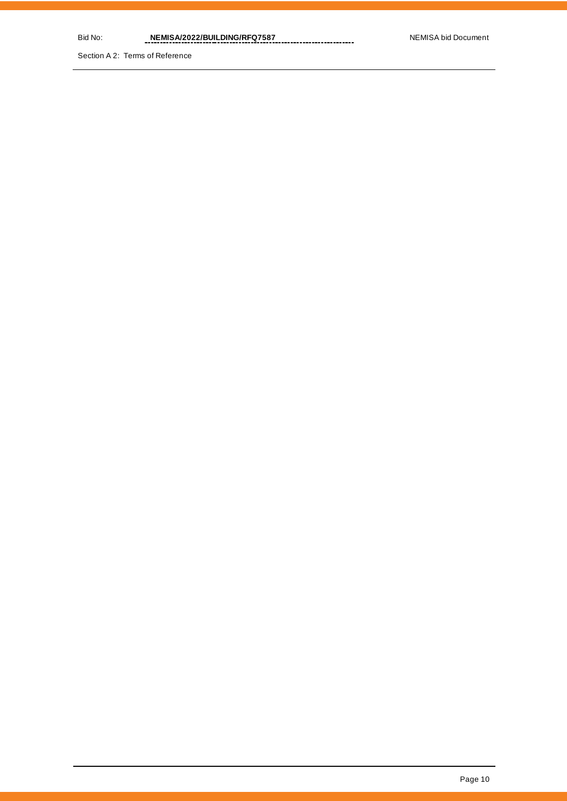### Bid No: **NEMISA/2022/BUILDING/RFQ7587**<br>NEMISA bid Document

Section A 2: Terms of Reference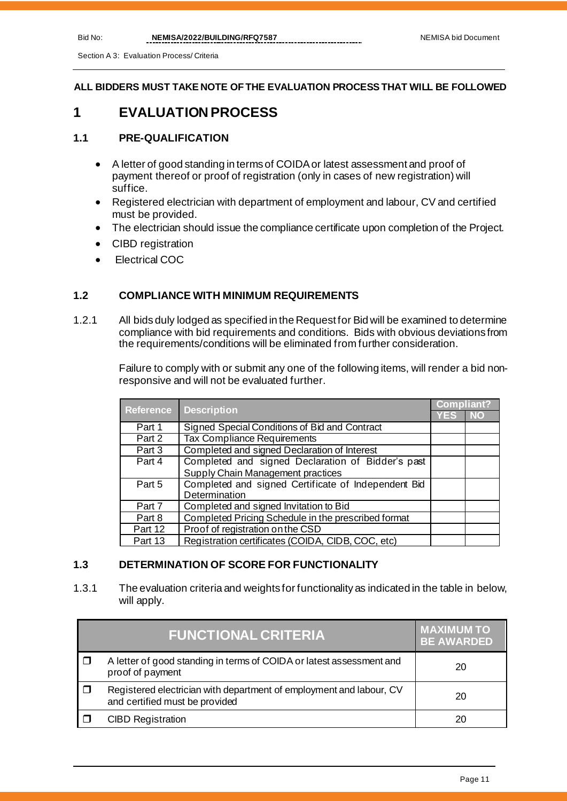Section A 3: Evaluation Process/ Criteria

**ALL BIDDERS MUST TAKE NOTE OF THE EVALUATION PROCESS THAT WILL BE FOLLOWED**

# **1 EVALUATION PROCESS**

### **1.1 PRE-QUALIFICATION**

- A letter of good standing in terms of COIDAor latest assessment and proof of payment thereof or proof of registration (only in cases of new registration) will suffice.
- Registered electrician with department of employment and labour, CV and certified must be provided.
- The electrician should issue the compliance certificate upon completion of the Project.
- CIBD registration
- Electrical COC

### **1.2 COMPLIANCE WITH MINIMUM REQUIREMENTS**

1.2.1 All bids duly lodged as specified in the Request for Bid will be examined to determine compliance with bid requirements and conditions. Bids with obvious deviations from the requirements/conditions will be eliminated from further consideration.

> Failure to comply with or submit any one of the following items, will render a bid nonresponsive and will not be evaluated further.

| <b>Reference</b> | <b>Description</b>                                  | <b>Compliant?</b> |  |
|------------------|-----------------------------------------------------|-------------------|--|
|                  |                                                     | YES               |  |
| Part 1           | Signed Special Conditions of Bid and Contract       |                   |  |
| Part 2           | <b>Tax Compliance Requirements</b>                  |                   |  |
| Part 3           | Completed and signed Declaration of Interest        |                   |  |
| Part 4           | Completed and signed Declaration of Bidder's past   |                   |  |
|                  | Supply Chain Management practices                   |                   |  |
| Part 5           | Completed and signed Certificate of Independent Bid |                   |  |
|                  | Determination                                       |                   |  |
| Part 7           | Completed and signed Invitation to Bid              |                   |  |
| Part 8           | Completed Pricing Schedule in the prescribed format |                   |  |
| Part 12          | Proof of registration on the CSD                    |                   |  |
| Part 13          | Registration certificates (COIDA, CIDB, COC, etc)   |                   |  |

### **1.3 DETERMINATION OF SCORE FOR FUNCTIONALITY**

1.3.1 The evaluation criteria and weights for functionality as indicated in the table in below, will apply.

| <b>FUNCTIONAL CRITERIA</b>                                                                            | <b>MAXIMUM TO</b><br><b>BE AWARDED</b> |
|-------------------------------------------------------------------------------------------------------|----------------------------------------|
| A letter of good standing in terms of COIDA or latest assessment and<br>proof of payment              | 20                                     |
| Registered electrician with department of employment and labour, CV<br>and certified must be provided | 20                                     |
| <b>CIBD Registration</b>                                                                              | 20                                     |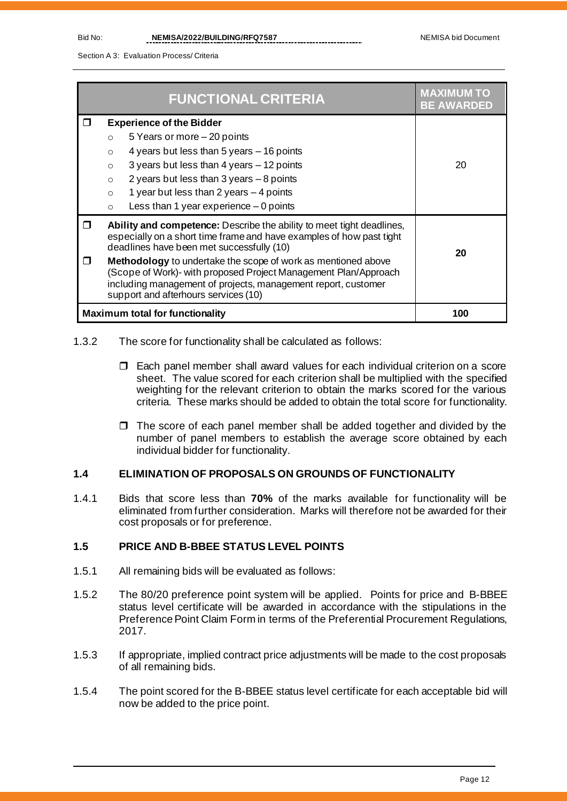Section A 3: Evaluation Process/ Criteria

|   | <b>FUNCTIONAL CRITERIA</b>                                                                                                                                                                                                                                                                                                                                                                                                              | <b>MAXIMUM TO</b><br><b>BE AWARDED</b> |
|---|-----------------------------------------------------------------------------------------------------------------------------------------------------------------------------------------------------------------------------------------------------------------------------------------------------------------------------------------------------------------------------------------------------------------------------------------|----------------------------------------|
|   | <b>Experience of the Bidder</b><br>5 Years or more – 20 points<br>$\circ$<br>4 years but less than 5 years - 16 points<br>$\circ$<br>3 years but less than 4 years - 12 points<br>$\circ$<br>2 years but less than $3$ years $-8$ points<br>$\circ$<br>1 year but less than 2 years $-4$ points<br>$\circ$<br>Less than 1 year experience $-0$ points<br>$\circ$                                                                        | 20                                     |
| □ | Ability and competence: Describe the ability to meet tight deadlines,<br>especially on a short time frame and have examples of how past tight<br>deadlines have been met successfully (10)<br>Methodology to undertake the scope of work as mentioned above<br>(Scope of Work)- with proposed Project Management Plan/Approach<br>including management of projects, management report, customer<br>support and afterhours services (10) | 20                                     |
|   | <b>Maximum total for functionality</b>                                                                                                                                                                                                                                                                                                                                                                                                  | 100                                    |

- 1.3.2 The score for functionality shall be calculated as follows:
	- $\Box$  Each panel member shall award values for each individual criterion on a score sheet. The value scored for each criterion shall be multiplied with the specified weighting for the relevant criterion to obtain the marks scored for the various criteria. These marks should be added to obtain the total score for functionality.
	- $\Box$  The score of each panel member shall be added together and divided by the number of panel members to establish the average score obtained by each individual bidder for functionality.

### **1.4 ELIMINATION OF PROPOSALS ON GROUNDS OF FUNCTIONALITY**

1.4.1 Bids that score less than **70%** of the marks available for functionality will be eliminated from further consideration. Marks will therefore not be awarded for their cost proposals or for preference.

### **1.5 PRICE AND B-BBEE STATUS LEVEL POINTS**

- 1.5.1 All remaining bids will be evaluated as follows:
- 1.5.2 The 80/20 preference point system will be applied. Points for price and B-BBEE status level certificate will be awarded in accordance with the stipulations in the Preference Point Claim Form in terms of the Preferential Procurement Regulations, 2017.
- 1.5.3 If appropriate, implied contract price adjustments will be made to the cost proposals of all remaining bids.
- 1.5.4 The point scored for the B-BBEE status level certificate for each acceptable bid will now be added to the price point.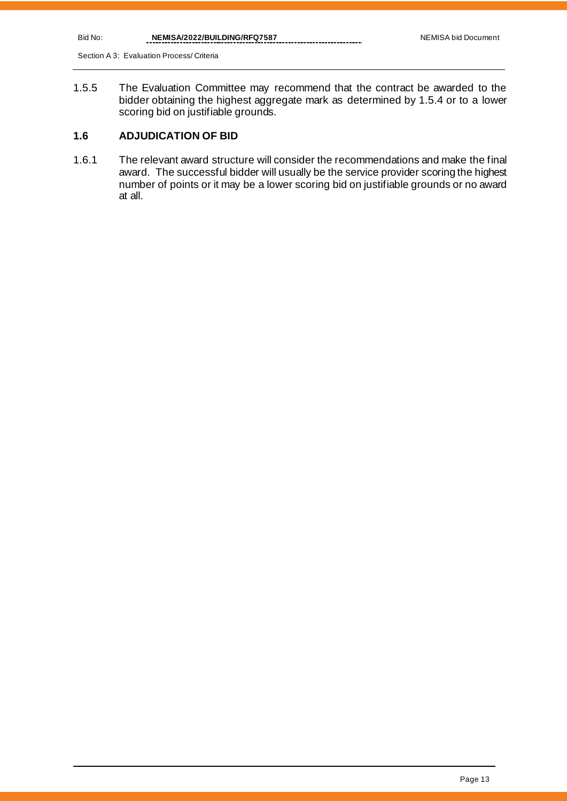Section A 3: Evaluation Process/ Criteria

1.5.5 The Evaluation Committee may recommend that the contract be awarded to the bidder obtaining the highest aggregate mark as determined by 1.5.4 or to a lower scoring bid on justifiable grounds.

### **1.6 ADJUDICATION OF BID**

1.6.1 The relevant award structure will consider the recommendations and make the final award. The successful bidder will usually be the service provider scoring the highest number of points or it may be a lower scoring bid on justifiable grounds or no award at all.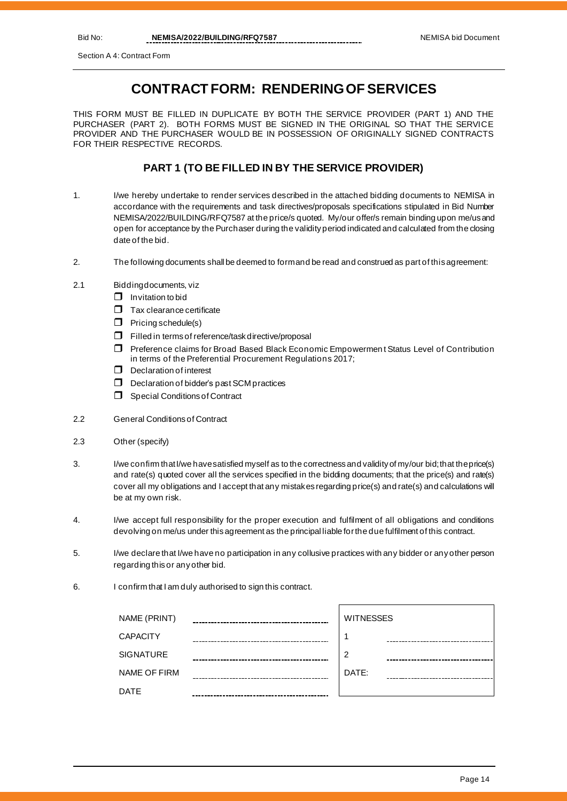Section A 4: Contract Form

# **CONTRACT FORM: RENDERING OF SERVICES**

THIS FORM MUST BE FILLED IN DUPLICATE BY BOTH THE SERVICE PROVIDER (PART 1) AND THE PURCHASER (PART 2). BOTH FORMS MUST BE SIGNED IN THE ORIGINAL SO THAT THE SERVICE PROVIDER AND THE PURCHASER WOULD BE IN POSSESSION OF ORIGINALLY SIGNED CONTRACTS FOR THEIR RESPECTIVE RECORDS.

### **PART 1 (TO BE FILLED IN BY THE SERVICE PROVIDER)**

- 1. I/we hereby undertake to render services described in the attached bidding documents to NEMISA in accordance with the requirements and task directives/proposals specifications stipulated in Bid Number NEMISA/2022/BUILDING/RFQ7587 at the price/s quoted. My/our offer/s remain binding upon me/us and open for acceptance by the Purchaser during the validity period indicated and calculated from the closing date of the bid.
- 2. The following documents shall be deemed to form and be read and construed as part of this agreement:
- 2.1 Bidding documents, viz
	- $\Box$  Invitation to bid
	- $\Box$  Tax clearance certificate
	- $\Box$  Pricing schedule(s)
	- $\Box$  Filled in terms of reference/task directive/proposal
	- Preference claims for Broad Based Black Economic Empowermen t Status Level of Contribution in terms of the Preferential Procurement Regulations 2017;
	- $\Box$  Declaration of interest
	- $\Box$  Declaration of bidder's past SCM practices
	- $\Box$  Special Conditions of Contract
- 2.2 General Conditions of Contract
- 2.3 Other (specify)
- 3. I/we confirm that I/we have satisfied myself as to the correctness and validity of my/our bid; that the price(s) and rate(s) quoted cover all the services specified in the bidding documents; that the price(s) and rate(s) cover all my obligations and I accept that any mistakes regarding price(s) and rate(s) and calculations will be at my own risk.
- 4. I/we accept full responsibility for the proper execution and fulfilment of all obligations and conditions devolving on me/us under this agreement as the principal liable for the due fulfilment of this contract.
- 5. I/we declare that I/we have no participation in any collusive practices with any bidder or any other person regarding this or any other bid.
- 6. I confirm that I am duly authorised to sign this contract.

| NAME (PRINT)    | <b>WITNESSES</b> |
|-----------------|------------------|
| <b>CAPACITY</b> |                  |
| SIGNATURE       | 2                |
| NAME OF FIRM    | DATE:            |
| DATE            |                  |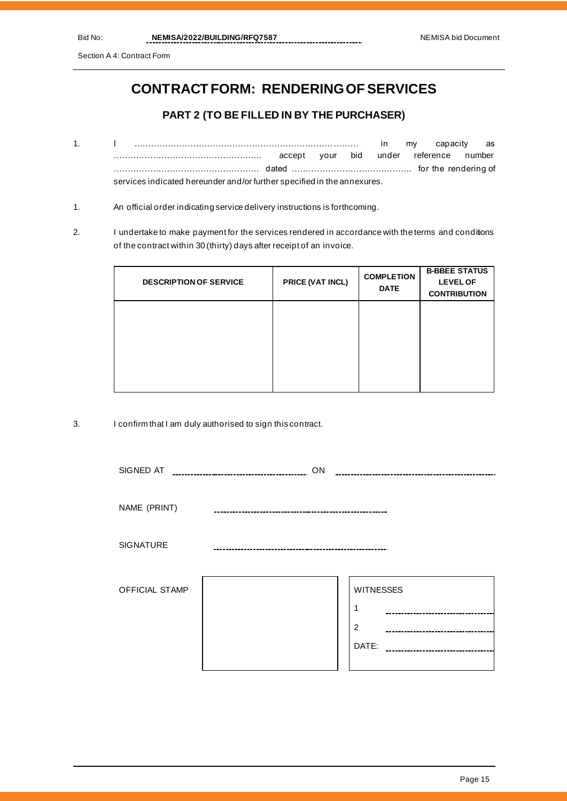Section A 4: Contract Form

# **CONTRACT FORM: RENDERING OF SERVICES**

### **PART 2 (TO BE FILLED IN BY THE PURCHASER)**

- 1. I ……………………………………………………..……………… in my capacity as …………………………………………….. accept your bid under reference number ……………………………………………. dated ……………………………………. for the rendering of services indicated hereunder and/or further specified in the annexures.
- 1. An official order indicating service delivery instructions is forthcoming.
- 2. I undertake to make payment for the services rendered in accordance with the terms and conditions of the contract within 30 (thirty) days after receipt of an invoice.

| <b>DESCRIPTION OF SERVICE</b> | PRICE (VAT INCL) | <b>COMPLETION</b><br><b>DATE</b> | <b>B-BBEE STATUS</b><br><b>LEVEL OF</b><br><b>CONTRIBUTION</b> |
|-------------------------------|------------------|----------------------------------|----------------------------------------------------------------|
|                               |                  |                                  |                                                                |
|                               |                  |                                  |                                                                |

3. I confirm that I am duly authorised to sign this contract.

| SIGNED AT             | <b>ON</b><br><u> 1988 - Johann Harrison, mars eta bainar eta erroma</u> |                                                                        |
|-----------------------|-------------------------------------------------------------------------|------------------------------------------------------------------------|
| NAME (PRINT)          |                                                                         |                                                                        |
| <b>SIGNATURE</b>      |                                                                         |                                                                        |
| <b>OFFICIAL STAMP</b> |                                                                         | <b>WITNESSES</b><br>1<br>2<br>DATE:<br>------------------------------- |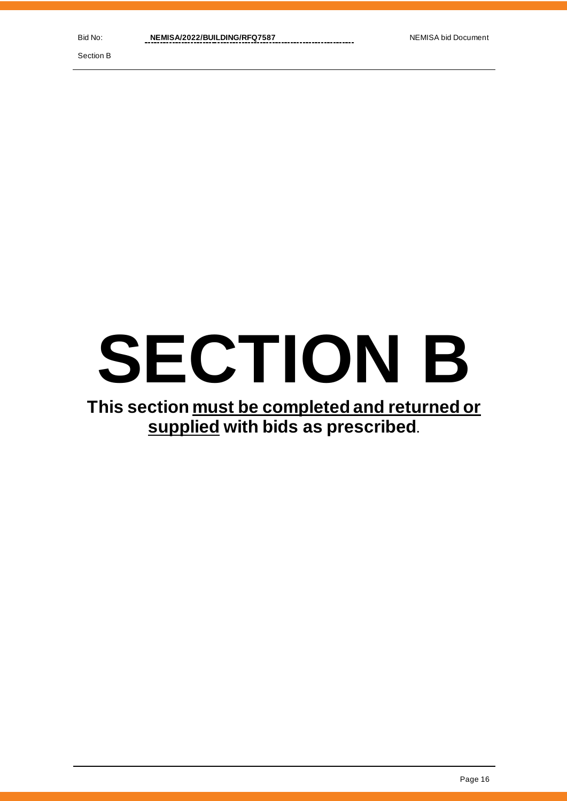Section B

# **SECTION B**

# **This section must be completed and returned or supplied with bids as prescribed.**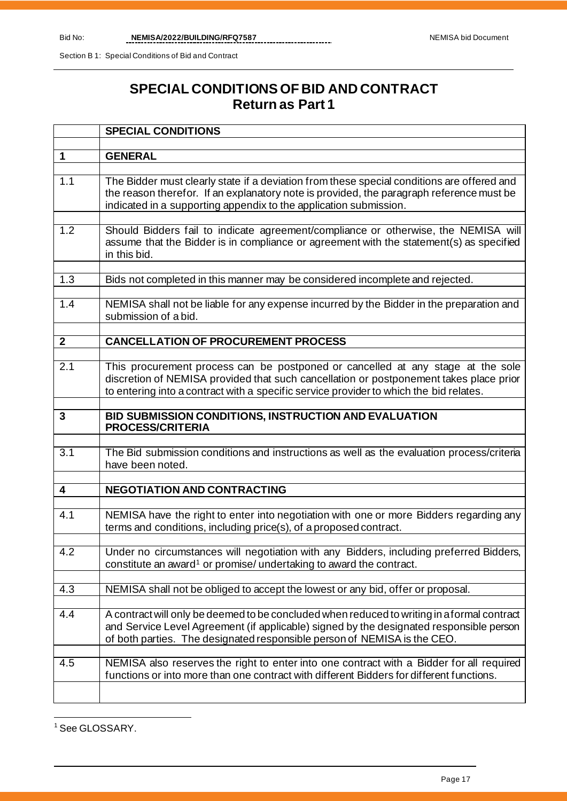# **SPECIAL CONDITIONS OF BID AND CONTRACT Return as Part 1**

|                         | <b>SPECIAL CONDITIONS</b>                                                                                                                                                                                                                                           |
|-------------------------|---------------------------------------------------------------------------------------------------------------------------------------------------------------------------------------------------------------------------------------------------------------------|
|                         |                                                                                                                                                                                                                                                                     |
| $\mathbf 1$             | <b>GENERAL</b>                                                                                                                                                                                                                                                      |
| 1.1                     | The Bidder must clearly state if a deviation from these special conditions are offered and<br>the reason therefor. If an explanatory note is provided, the paragraph reference must be<br>indicated in a supporting appendix to the application submission.         |
| $\overline{1.2}$        | Should Bidders fail to indicate agreement/compliance or otherwise, the NEMISA will<br>assume that the Bidder is in compliance or agreement with the statement(s) as specified<br>in this bid.                                                                       |
| 1.3                     | Bids not completed in this manner may be considered incomplete and rejected.                                                                                                                                                                                        |
| 1.4                     | NEMISA shall not be liable for any expense incurred by the Bidder in the preparation and<br>submission of a bid.                                                                                                                                                    |
| $\mathbf{2}$            | <b>CANCELLATION OF PROCUREMENT PROCESS</b>                                                                                                                                                                                                                          |
|                         |                                                                                                                                                                                                                                                                     |
| 2.1                     | This procurement process can be postponed or cancelled at any stage at the sole<br>discretion of NEMISA provided that such cancellation or postponement takes place prior<br>to entering into a contract with a specific service provider to which the bid relates. |
| 3                       | BID SUBMISSION CONDITIONS, INSTRUCTION AND EVALUATION<br><b>PROCESS/CRITERIA</b>                                                                                                                                                                                    |
| 3.1                     | The Bid submission conditions and instructions as well as the evaluation process/criteria<br>have been noted.                                                                                                                                                       |
| $\overline{\mathbf{4}}$ | <b>NEGOTIATION AND CONTRACTING</b>                                                                                                                                                                                                                                  |
| 4.1                     | NEMISA have the right to enter into negotiation with one or more Bidders regarding any<br>terms and conditions, including price(s), of a proposed contract.                                                                                                         |
| 4.2                     | Under no circumstances will negotiation with any Bidders, including preferred Bidders,<br>constitute an award <sup>1</sup> or promise/ undertaking to award the contract.                                                                                           |
| 4.3                     | NEMISA shall not be obliged to accept the lowest or any bid, offer or proposal.                                                                                                                                                                                     |
|                         |                                                                                                                                                                                                                                                                     |
| 4.4                     | A contract will only be deemed to be concluded when reduced to writing in a formal contract<br>and Service Level Agreement (if applicable) signed by the designated responsible person<br>of both parties. The designated responsible person of NEMISA is the CEO.  |
| 4.5                     | NEMISA also reserves the right to enter into one contract with a Bidder for all required<br>functions or into more than one contract with different Bidders for different functions.                                                                                |
|                         |                                                                                                                                                                                                                                                                     |

<sup>1</sup> See GLOSSARY.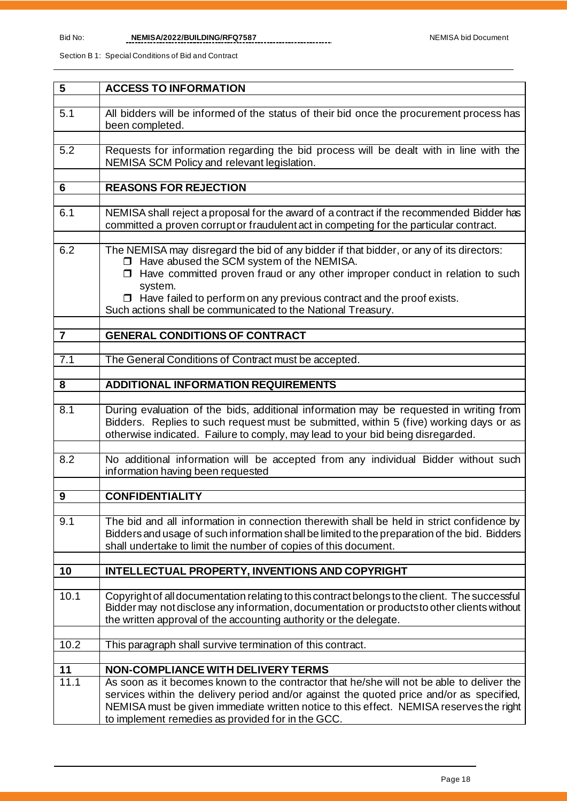| 5                | <b>ACCESS TO INFORMATION</b>                                                                                                                                                                                                                                                                                                                                                              |
|------------------|-------------------------------------------------------------------------------------------------------------------------------------------------------------------------------------------------------------------------------------------------------------------------------------------------------------------------------------------------------------------------------------------|
| 5.1              | All bidders will be informed of the status of their bid once the procurement process has<br>been completed.                                                                                                                                                                                                                                                                               |
| $\overline{5.2}$ | Requests for information regarding the bid process will be dealt with in line with the<br>NEMISA SCM Policy and relevant legislation.                                                                                                                                                                                                                                                     |
| 6                | <b>REASONS FOR REJECTION</b>                                                                                                                                                                                                                                                                                                                                                              |
|                  |                                                                                                                                                                                                                                                                                                                                                                                           |
| 6.1              | NEMISA shall reject a proposal for the award of a contract if the recommended Bidder has<br>committed a proven corrupt or fraudulent act in competing for the particular contract.                                                                                                                                                                                                        |
| 6.2              | The NEMISA may disregard the bid of any bidder if that bidder, or any of its directors:<br>□ Have abused the SCM system of the NEMISA.<br>$\Box$ Have committed proven fraud or any other improper conduct in relation to such<br>system.<br>$\Box$ Have failed to perform on any previous contract and the proof exists.<br>Such actions shall be communicated to the National Treasury. |
| $\overline{7}$   | <b>GENERAL CONDITIONS OF CONTRACT</b>                                                                                                                                                                                                                                                                                                                                                     |
|                  |                                                                                                                                                                                                                                                                                                                                                                                           |
| 7.1              | The General Conditions of Contract must be accepted.                                                                                                                                                                                                                                                                                                                                      |
| 8                | <b>ADDITIONAL INFORMATION REQUIREMENTS</b>                                                                                                                                                                                                                                                                                                                                                |
|                  |                                                                                                                                                                                                                                                                                                                                                                                           |
| 8.1              | During evaluation of the bids, additional information may be requested in writing from<br>Bidders. Replies to such request must be submitted, within 5 (five) working days or as<br>otherwise indicated. Failure to comply, may lead to your bid being disregarded.                                                                                                                       |
| 8.2              | No additional information will be accepted from any individual Bidder without such<br>information having been requested                                                                                                                                                                                                                                                                   |
| 9                | <b>CONFIDENTIALITY</b>                                                                                                                                                                                                                                                                                                                                                                    |
|                  |                                                                                                                                                                                                                                                                                                                                                                                           |
| 9.1              | The bid and all information in connection therewith shall be held in strict confidence by<br>Bidders and usage of such information shall be limited to the preparation of the bid. Bidders<br>shall undertake to limit the number of copies of this document.                                                                                                                             |
| 10               | INTELLECTUAL PROPERTY, INVENTIONS AND COPYRIGHT                                                                                                                                                                                                                                                                                                                                           |
|                  |                                                                                                                                                                                                                                                                                                                                                                                           |
| 10.1             | Copyright of all documentation relating to this contract belongs to the client. The successful<br>Bidder may not disclose any information, documentation or products to other clients without<br>the written approval of the accounting authority or the delegate.                                                                                                                        |
| 10.2             | This paragraph shall survive termination of this contract.                                                                                                                                                                                                                                                                                                                                |
|                  |                                                                                                                                                                                                                                                                                                                                                                                           |
| 11<br>11.1       | <b>NON-COMPLIANCE WITH DELIVERY TERMS</b><br>As soon as it becomes known to the contractor that he/she will not be able to deliver the<br>services within the delivery period and/or against the quoted price and/or as specified,<br>NEMISA must be given immediate written notice to this effect. NEMISA reserves the right<br>to implement remedies as provided for in the GCC.        |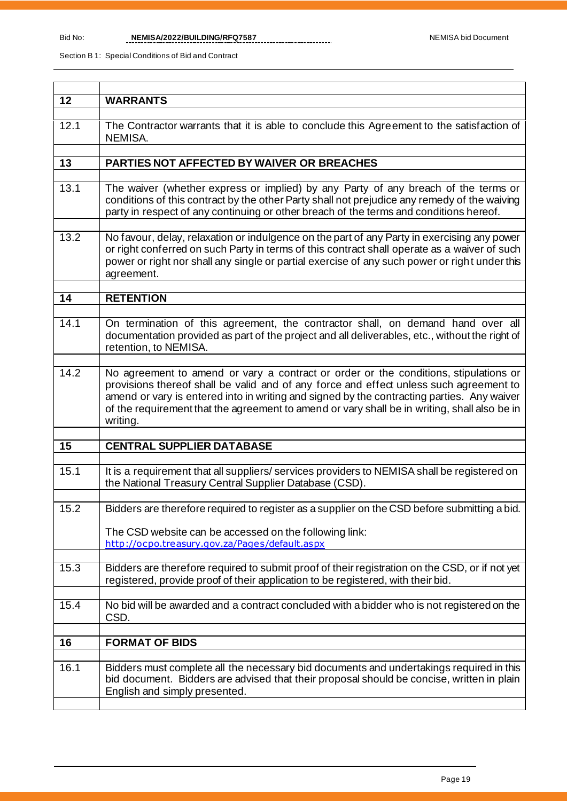| The Contractor warrants that it is able to conclude this Agreement to the satisfaction of                                                                                                                                                                                                                                                                                    |
|------------------------------------------------------------------------------------------------------------------------------------------------------------------------------------------------------------------------------------------------------------------------------------------------------------------------------------------------------------------------------|
|                                                                                                                                                                                                                                                                                                                                                                              |
|                                                                                                                                                                                                                                                                                                                                                                              |
| The waiver (whether express or implied) by any Party of any breach of the terms or<br>conditions of this contract by the other Party shall not prejudice any remedy of the waiving<br>party in respect of any continuing or other breach of the terms and conditions hereof.                                                                                                 |
| No favour, delay, relaxation or indulgence on the part of any Party in exercising any power<br>or right conferred on such Party in terms of this contract shall operate as a waiver of such<br>power or right nor shall any single or partial exercise of any such power or right under this                                                                                 |
|                                                                                                                                                                                                                                                                                                                                                                              |
|                                                                                                                                                                                                                                                                                                                                                                              |
| On termination of this agreement, the contractor shall, on demand hand over all<br>documentation provided as part of the project and all deliverables, etc., without the right of                                                                                                                                                                                            |
|                                                                                                                                                                                                                                                                                                                                                                              |
| No agreement to amend or vary a contract or order or the conditions, stipulations or<br>provisions thereof shall be valid and of any force and effect unless such agreement to<br>amend or vary is entered into in writing and signed by the contracting parties. Any waiver<br>of the requirement that the agreement to amend or vary shall be in writing, shall also be in |
|                                                                                                                                                                                                                                                                                                                                                                              |
|                                                                                                                                                                                                                                                                                                                                                                              |
| It is a requirement that all suppliers/services providers to NEMISA shall be registered on                                                                                                                                                                                                                                                                                   |
| Bidders are therefore required to register as a supplier on the CSD before submitting a bid.                                                                                                                                                                                                                                                                                 |
|                                                                                                                                                                                                                                                                                                                                                                              |
| Bidders are therefore required to submit proof of their registration on the CSD, or if not yet                                                                                                                                                                                                                                                                               |
| No bid will be awarded and a contract concluded with a bidder who is not registered on the                                                                                                                                                                                                                                                                                   |
|                                                                                                                                                                                                                                                                                                                                                                              |
|                                                                                                                                                                                                                                                                                                                                                                              |
| Bidders must complete all the necessary bid documents and undertakings required in this<br>bid document. Bidders are advised that their proposal should be concise, written in plain                                                                                                                                                                                         |
|                                                                                                                                                                                                                                                                                                                                                                              |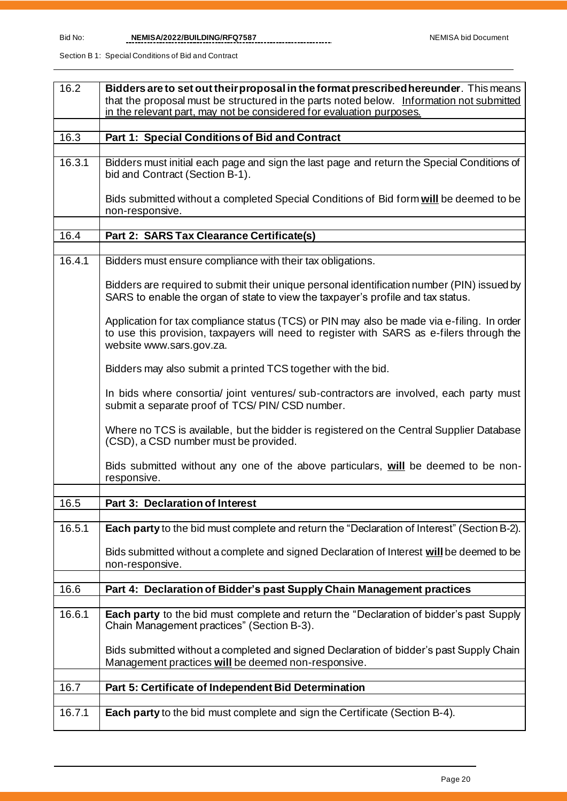| 16.2   | Bidders are to set out their proposal in the format prescribed hereunder. This means                                                                                                                               |
|--------|--------------------------------------------------------------------------------------------------------------------------------------------------------------------------------------------------------------------|
|        | that the proposal must be structured in the parts noted below. Information not submitted                                                                                                                           |
|        | in the relevant part, may not be considered for evaluation purposes.                                                                                                                                               |
| 16.3   | Part 1: Special Conditions of Bid and Contract                                                                                                                                                                     |
|        |                                                                                                                                                                                                                    |
| 16.3.1 | Bidders must initial each page and sign the last page and return the Special Conditions of<br>bid and Contract (Section B-1).                                                                                      |
|        | Bids submitted without a completed Special Conditions of Bid form will be deemed to be<br>non-responsive.                                                                                                          |
|        |                                                                                                                                                                                                                    |
| 16.4   | Part 2: SARS Tax Clearance Certificate(s)                                                                                                                                                                          |
| 16.4.1 | Bidders must ensure compliance with their tax obligations.                                                                                                                                                         |
|        | Bidders are required to submit their unique personal identification number (PIN) issued by<br>SARS to enable the organ of state to view the taxpayer's profile and tax status.                                     |
|        | Application for tax compliance status (TCS) or PIN may also be made via e-filing. In order<br>to use this provision, taxpayers will need to register with SARS as e-filers through the<br>website www.sars.gov.za. |
|        | Bidders may also submit a printed TCS together with the bid.                                                                                                                                                       |
|        | In bids where consortia/ joint ventures/ sub-contractors are involved, each party must<br>submit a separate proof of TCS/PIN/CSD number.                                                                           |
|        | Where no TCS is available, but the bidder is registered on the Central Supplier Database<br>(CSD), a CSD number must be provided.                                                                                  |
|        | Bids submitted without any one of the above particulars, will be deemed to be non-<br>responsive.                                                                                                                  |
|        |                                                                                                                                                                                                                    |
| 16.5   | Part 3: Declaration of Interest                                                                                                                                                                                    |
| 16.5.1 | <b>Each party</b> to the bid must complete and return the "Declaration of Interest" (Section B-2).                                                                                                                 |
|        | Bids submitted without a complete and signed Declaration of Interest will be deemed to be<br>non-responsive.                                                                                                       |
| 16.6   | Part 4: Declaration of Bidder's past Supply Chain Management practices                                                                                                                                             |
|        |                                                                                                                                                                                                                    |
| 16.6.1 | Each party to the bid must complete and return the "Declaration of bidder's past Supply<br>Chain Management practices" (Section B-3).                                                                              |
|        | Bids submitted without a completed and signed Declaration of bidder's past Supply Chain<br>Management practices will be deemed non-responsive.                                                                     |
|        |                                                                                                                                                                                                                    |
| 16.7   | Part 5: Certificate of Independent Bid Determination                                                                                                                                                               |
| 16.7.1 | <b>Each party</b> to the bid must complete and sign the Certificate (Section B-4).                                                                                                                                 |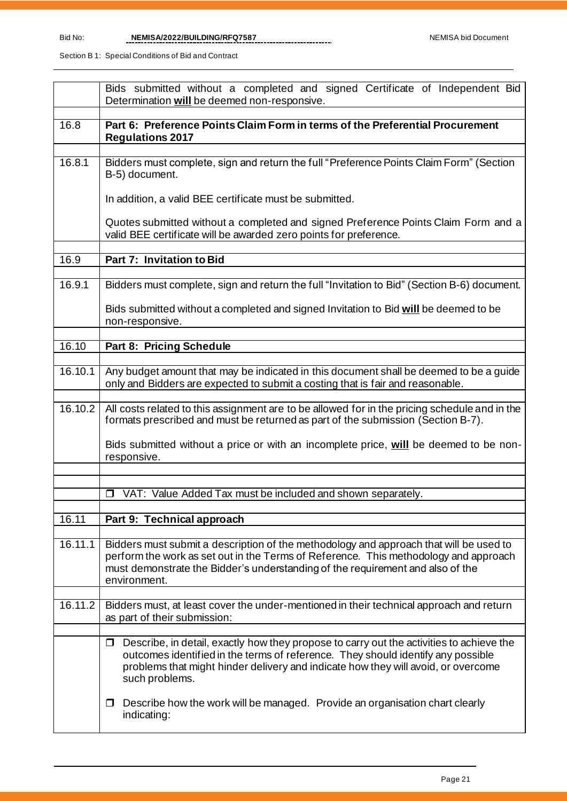|         | Bids submitted without a completed and signed Certificate of Independent Bid<br>Determination will be deemed non-responsive.                                                                                                                                                             |
|---------|------------------------------------------------------------------------------------------------------------------------------------------------------------------------------------------------------------------------------------------------------------------------------------------|
| 16.8    | Part 6: Preference Points Claim Form in terms of the Preferential Procurement<br><b>Regulations 2017</b>                                                                                                                                                                                 |
| 16.8.1  | Bidders must complete, sign and return the full "Preference Points Claim Form" (Section<br>B-5) document.                                                                                                                                                                                |
|         | In addition, a valid BEE certificate must be submitted.                                                                                                                                                                                                                                  |
|         | Quotes submitted without a completed and signed Preference Points Claim Form and a<br>valid BEE certificate will be awarded zero points for preference.                                                                                                                                  |
| 16.9    | Part 7: Invitation to Bid                                                                                                                                                                                                                                                                |
| 16.9.1  | Bidders must complete, sign and return the full "Invitation to Bid" (Section B-6) document.                                                                                                                                                                                              |
|         | Bids submitted without a completed and signed Invitation to Bid will be deemed to be<br>non-responsive.                                                                                                                                                                                  |
| 16.10   | Part 8: Pricing Schedule                                                                                                                                                                                                                                                                 |
| 16.10.1 | Any budget amount that may be indicated in this document shall be deemed to be a guide<br>only and Bidders are expected to submit a costing that is fair and reasonable.                                                                                                                 |
| 16.10.2 | All costs related to this assignment are to be allowed for in the pricing schedule and in the<br>formats prescribed and must be returned as part of the submission (Section B-7).                                                                                                        |
|         | Bids submitted without a price or with an incomplete price, will be deemed to be non-<br>responsive.                                                                                                                                                                                     |
|         |                                                                                                                                                                                                                                                                                          |
|         | VAT: Value Added Tax must be included and shown separately.<br>П.                                                                                                                                                                                                                        |
| 16.11   | Part 9: Technical approach                                                                                                                                                                                                                                                               |
| 16.11.1 | Bidders must submit a description of the methodology and approach that will be used to<br>perform the work as set out in the Terms of Reference. This methodology and approach<br>must demonstrate the Bidder's understanding of the requirement and also of the<br>environment.         |
| 16.11.2 | Bidders must, at least cover the under-mentioned in their technical approach and return<br>as part of their submission:                                                                                                                                                                  |
|         | Describe, in detail, exactly how they propose to carry out the activities to achieve the<br>0<br>outcomes identified in the terms of reference. They should identify any possible<br>problems that might hinder delivery and indicate how they will avoid, or overcome<br>such problems. |
|         | Describe how the work will be managed. Provide an organisation chart clearly<br>0<br>indicating:                                                                                                                                                                                         |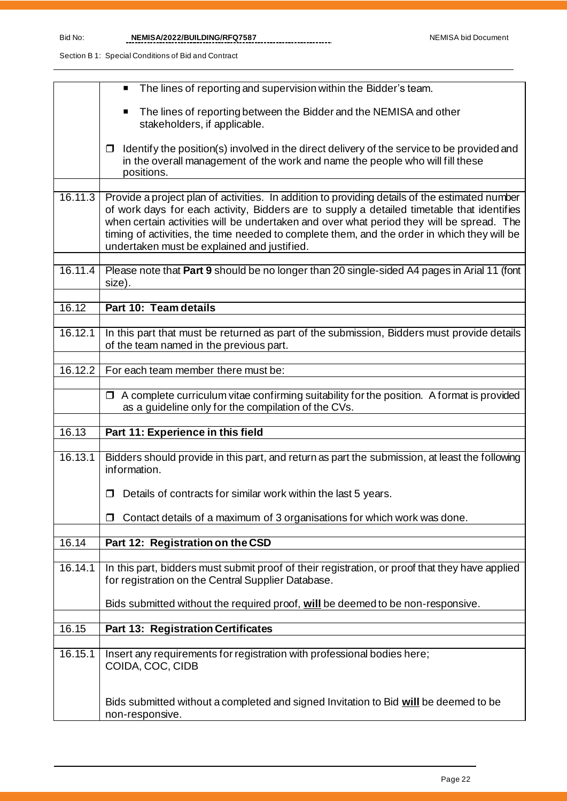|         | The lines of reporting and supervision within the Bidder's team.<br>п                                                                                                                                                                                                                                                                                                                                                                  |
|---------|----------------------------------------------------------------------------------------------------------------------------------------------------------------------------------------------------------------------------------------------------------------------------------------------------------------------------------------------------------------------------------------------------------------------------------------|
|         | The lines of reporting between the Bidder and the NEMISA and other<br>п<br>stakeholders, if applicable.                                                                                                                                                                                                                                                                                                                                |
|         | Identify the position(s) involved in the direct delivery of the service to be provided and<br>$\Box$<br>in the overall management of the work and name the people who will fill these<br>positions.                                                                                                                                                                                                                                    |
| 16.11.3 |                                                                                                                                                                                                                                                                                                                                                                                                                                        |
|         | Provide a project plan of activities. In addition to providing details of the estimated number<br>of work days for each activity, Bidders are to supply a detailed timetable that identifies<br>when certain activities will be undertaken and over what period they will be spread. The<br>timing of activities, the time needed to complete them, and the order in which they will be<br>undertaken must be explained and justified. |
| 16.11.4 | Please note that Part 9 should be no longer than 20 single-sided A4 pages in Arial 11 (font<br>size).                                                                                                                                                                                                                                                                                                                                  |
| 16.12   | Part 10: Team details                                                                                                                                                                                                                                                                                                                                                                                                                  |
|         |                                                                                                                                                                                                                                                                                                                                                                                                                                        |
| 16.12.1 | In this part that must be returned as part of the submission, Bidders must provide details<br>of the team named in the previous part.                                                                                                                                                                                                                                                                                                  |
| 16.12.2 | For each team member there must be:                                                                                                                                                                                                                                                                                                                                                                                                    |
|         | $\Box$ A complete curriculum vitae confirming suitability for the position. A format is provided<br>as a guideline only for the compilation of the CVs.                                                                                                                                                                                                                                                                                |
| 16.13   | Part 11: Experience in this field                                                                                                                                                                                                                                                                                                                                                                                                      |
|         |                                                                                                                                                                                                                                                                                                                                                                                                                                        |
| 16.13.1 | Bidders should provide in this part, and return as part the submission, at least the following<br>information.                                                                                                                                                                                                                                                                                                                         |
|         | Details of contracts for similar work within the last 5 years.<br>$\Box$                                                                                                                                                                                                                                                                                                                                                               |
|         | Contact details of a maximum of 3 organisations for which work was done.<br>□                                                                                                                                                                                                                                                                                                                                                          |
| 16.14   | Part 12: Registration on the CSD                                                                                                                                                                                                                                                                                                                                                                                                       |
|         |                                                                                                                                                                                                                                                                                                                                                                                                                                        |
| 16.14.1 | In this part, bidders must submit proof of their registration, or proof that they have applied<br>for registration on the Central Supplier Database.                                                                                                                                                                                                                                                                                   |
|         | Bids submitted without the required proof, will be deemed to be non-responsive.                                                                                                                                                                                                                                                                                                                                                        |
| 16.15   | Part 13: Registration Certificates                                                                                                                                                                                                                                                                                                                                                                                                     |
|         |                                                                                                                                                                                                                                                                                                                                                                                                                                        |
| 16.15.1 | Insert any requirements for registration with professional bodies here;<br>COIDA, COC, CIDB                                                                                                                                                                                                                                                                                                                                            |
|         | Bids submitted without a completed and signed Invitation to Bid will be deemed to be<br>non-responsive.                                                                                                                                                                                                                                                                                                                                |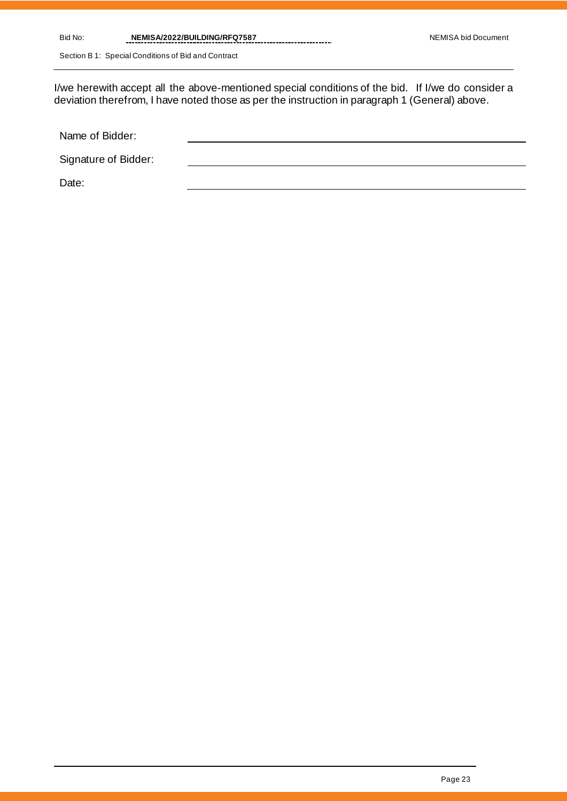I/we herewith accept all the above-mentioned special conditions of the bid. If I/we do consider a deviation therefrom, I have noted those as per the instruction in paragraph 1 (General) above.

| Name of Bidder:      |  |
|----------------------|--|
| Signature of Bidder: |  |
| Date:                |  |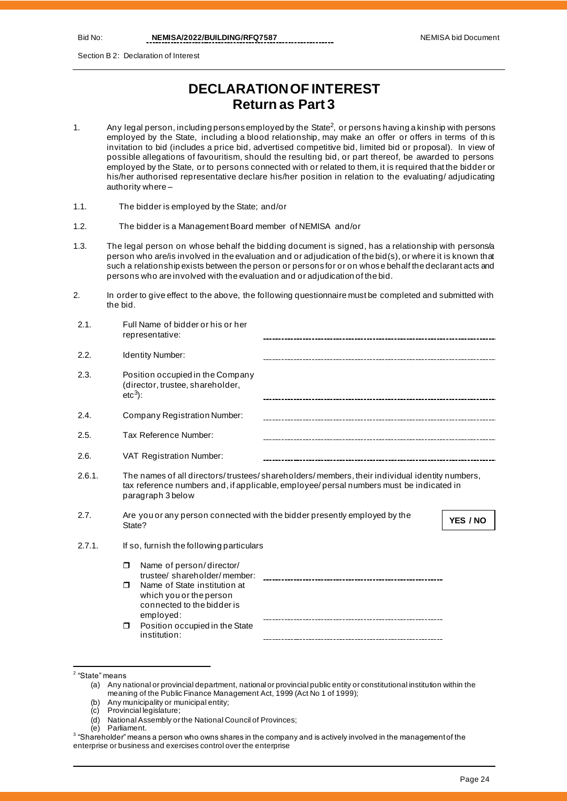Section B 2: Declaration of Interest

# **DECLARATION OF INTEREST Return as Part 3**

- 1. Any legal person, including persons employed by the State<sup>2</sup>, or persons having a kinship with persons employed by the State, including a blood relationship, may make an offer or offers in terms of th is invitation to bid (includes a price bid, advertised competitive bid, limited bid or proposal). In view of possible allegations of favouritism, should the resulting bid, or part thereof, be awarded to persons employed by the State, or to persons connected with or related to them, it is required that the bidder or his/her authorised representative declare his/her position in relation to the evaluating/ adjudicating authority where –
- 1.1. The bidder is employed by the State; and/or
- 1.2. The bidder is a Management Board member of NEMISA and/or
- 1.3. The legal person on whose behalf the bidding document is signed, has a relationship with persons/a person who are/is involved in the evaluation and or adjudication of the bid(s), or where it is known that such a relationship exists between the person or persons for or on whose behalf the declarant acts and persons who are involved with the evaluation and or adjudication of the bid.
- 2. In order to give effect to the above, the following questionnaire must be completed and submitted with the bid.

| 2.1.   | Full Name of bidder or his or her<br>representative:                                                                                                                                                         |
|--------|--------------------------------------------------------------------------------------------------------------------------------------------------------------------------------------------------------------|
| 2.2.   | Identity Number:                                                                                                                                                                                             |
| 2.3.   | Position occupied in the Company<br>(director, trustee, shareholder,<br>$etc3$ :                                                                                                                             |
| 2.4.   | Company Registration Number:                                                                                                                                                                                 |
| 2.5.   | Tax Reference Number:                                                                                                                                                                                        |
| 2.6.   | VAT Registration Number:                                                                                                                                                                                     |
| 2.6.1. | The names of all directors/trustees/shareholders/members, their individual identity numbers,<br>tax reference numbers and, if applicable, employee/ persal numbers must be indicated in<br>paragraph 3 below |
| 2.7.   | Are you or any person connected with the bidder presently employed by the<br>YES / NO<br>State?                                                                                                              |
| 2.7.1. | If so, furnish the following particulars                                                                                                                                                                     |
|        | Name of person/director/<br>$\Box$<br>trustee/shareholder/member:<br>Name of State institution at<br>$\mathbf \Pi$<br>which you or the person<br>connected to the bidder is                                  |
|        | employed:<br>Position occupied in the State<br>$\Box$<br>institution:                                                                                                                                        |

(b) Any municipality or municipal entity;<br>(c) Provincial legislature:

(d) National Assembly or the National Council of Provinces;

<sup>2</sup> "State" means

<sup>(</sup>a) Any national or provincial department, national or provincial public entity or constitutional institution within the meaning of the Public Finance Management Act, 1999 (Act No 1 of 1999);

Provincial legislature;

<sup>(</sup>e) Parliament.

 $^{\rm 3}$  "Shareholder" means a person who owns shares in the company and is actively involved in the management of the enterprise or business and exercises control over the enterprise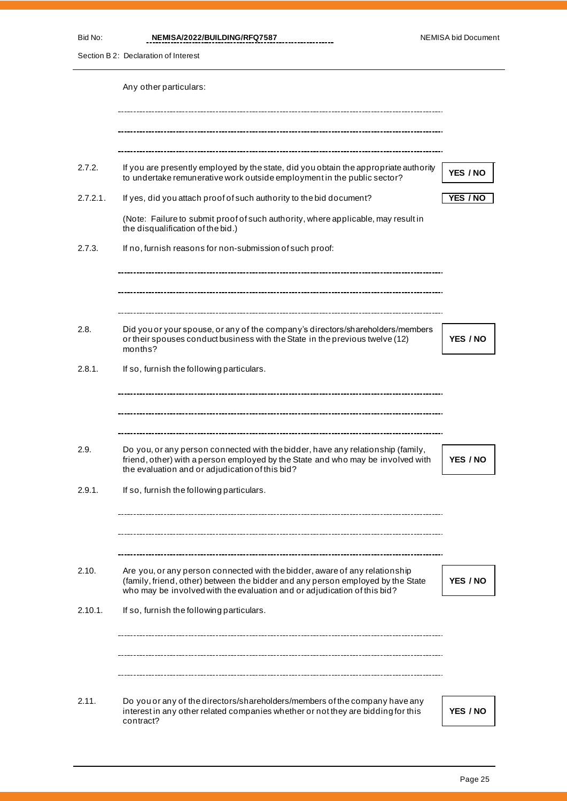Section B 2: Declaration of Interest

|             | Any other particulars:                                                                                                                                                                                                                     |                 |
|-------------|--------------------------------------------------------------------------------------------------------------------------------------------------------------------------------------------------------------------------------------------|-----------------|
|             |                                                                                                                                                                                                                                            |                 |
| 2.7.2.      | If you are presently employed by the state, did you obtain the appropriate authority<br>to undertake remunerative work outside employment in the public sector?                                                                            | YES / NO        |
| $2.7.2.1$ . | If yes, did you attach proof of such authority to the bid document?                                                                                                                                                                        | YES / NO        |
|             | (Note: Failure to submit proof of such authority, where applicable, may result in<br>the disqualification of the bid.)                                                                                                                     |                 |
| 2.7.3.      | If no, furnish reasons for non-submission of such proof:                                                                                                                                                                                   |                 |
|             |                                                                                                                                                                                                                                            |                 |
| 2.8.        | Did you or your spouse, or any of the company's directors/shareholders/members<br>or their spouses conduct business with the State in the previous twelve (12)<br>months?                                                                  | <b>YES / NO</b> |
| 2.8.1.      | If so, furnish the following particulars.                                                                                                                                                                                                  |                 |
|             |                                                                                                                                                                                                                                            |                 |
| 2.9.        | Do you, or any person connected with the bidder, have any relationship (family,<br>friend, other) with a person employed by the State and who may be involved with<br>the evaluation and or adjudication of this bid?                      | <b>YES / NO</b> |
| 2.9.1.      | If so, furnish the following particulars.                                                                                                                                                                                                  |                 |
|             |                                                                                                                                                                                                                                            |                 |
| 2.10.       | Are you, or any person connected with the bidder, aware of any relationship<br>(family, friend, other) between the bidder and any person employed by the State<br>who may be involved with the evaluation and or adjudication of this bid? | <b>YES / NO</b> |
| 2.10.1.     | If so, furnish the following particulars.                                                                                                                                                                                                  |                 |
|             |                                                                                                                                                                                                                                            |                 |
|             |                                                                                                                                                                                                                                            |                 |
|             |                                                                                                                                                                                                                                            |                 |
| 2.11.       | Do you or any of the directors/shareholders/members of the company have any<br>interest in any other related companies whether or not they are bidding for this<br>contract?                                                               | <b>YES / NO</b> |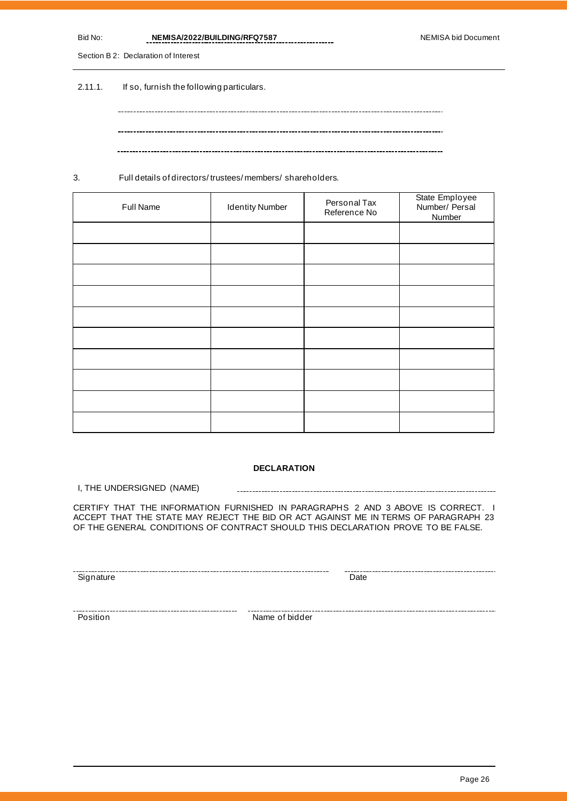### Bid No: **NEMISA/2022/BUILDING/RFQ7587** NEMISA bid Document

Section B 2: Declaration of Interest

2.11.1. If so, furnish the following particulars.

3. Full details of directors/ trustees/ members/ shareholders.

| Full Name | <b>Identity Number</b> | Personal Tax<br>Reference No | State Employee<br>Number/ Persal<br>Number |
|-----------|------------------------|------------------------------|--------------------------------------------|
|           |                        |                              |                                            |
|           |                        |                              |                                            |
|           |                        |                              |                                            |
|           |                        |                              |                                            |
|           |                        |                              |                                            |
|           |                        |                              |                                            |
|           |                        |                              |                                            |
|           |                        |                              |                                            |
|           |                        |                              |                                            |
|           |                        |                              |                                            |

### **DECLARATION**

I, THE UNDERSIGNED (NAME) 

CERTIFY THAT THE INFORMATION FURNISHED IN PARAGRAPHS 2 AND 3 ABOVE IS CORRECT. I ACCEPT THAT THE STATE MAY REJECT THE BID OR ACT AGAINST ME IN TERMS OF PARAGRAPH 23 OF THE GENERAL CONDITIONS OF CONTRACT SHOULD THIS DECLARATION PROVE TO BE FALSE.

Signature Date

---------------------------------

Position Name of bidder

....................................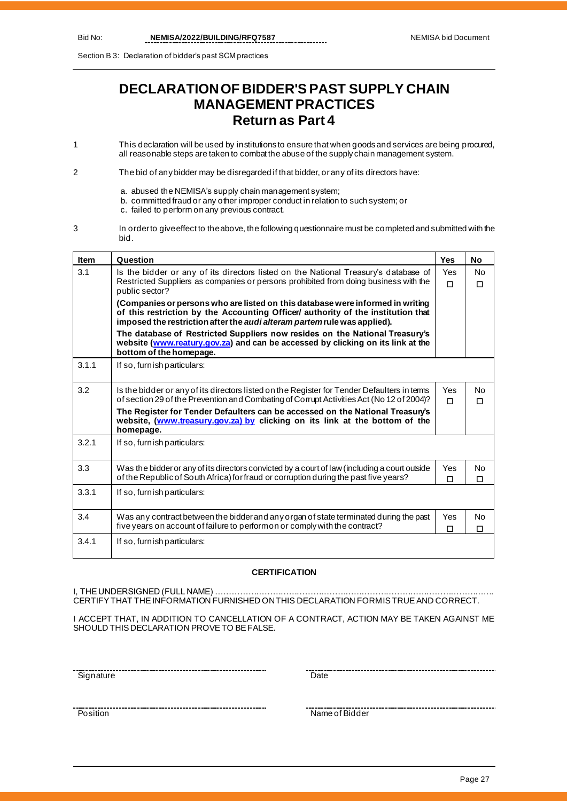Section B 3: Declaration of bidder's past SCM practices

# **DECLARATION OF BIDDER'S PAST SUPPLY CHAIN MANAGEMENT PRACTICES Return as Part 4**

1 This declaration will be used by institutions to ensure that when goods and services are being procured, all reasonable steps are taken to combat the abuse of the supply chain management system.

2 The bid of any bidder may be disregarded if that bidder, or any of its directors have:

- a. abused the NEMISA's supply chain management system;
- b. committed fraud or any other improper conduct in relation to such system; or
	- c. failed to perform on any previous contract.
- 3 In order to give effect to the above, the following questionnaire must be completed and submitted with the bid.

| <b>Item</b> | Question                                                                                                                                                                                                                                       | <b>Yes</b>      | <b>No</b> |
|-------------|------------------------------------------------------------------------------------------------------------------------------------------------------------------------------------------------------------------------------------------------|-----------------|-----------|
| 3.1         | Is the bidder or any of its directors listed on the National Treasury's database of<br>Restricted Suppliers as companies or persons prohibited from doing business with the                                                                    | <b>Yes</b><br>п | No<br>п   |
|             | public sector?                                                                                                                                                                                                                                 |                 |           |
|             | (Companies or persons who are listed on this database were informed in writing<br>of this restriction by the Accounting Officer/ authority of the institution that<br>imposed the restriction after the audi alteram partem rule was applied). |                 |           |
|             | The database of Restricted Suppliers now resides on the National Treasury's<br>website (www.reatury.gov.za) and can be accessed by clicking on its link at the<br>bottom of the homepage.                                                      |                 |           |
| 3.1.1       | If so, furnish particulars:                                                                                                                                                                                                                    |                 |           |
| 3.2         | Is the bidder or any of its directors listed on the Register for Tender Defaulters in terms<br>of section 29 of the Prevention and Combating of Corrupt Activities Act (No 12 of 2004)?                                                        | Yes<br>п        | No<br>П   |
|             | The Register for Tender Defaulters can be accessed on the National Treasury's<br>website, (www.treasury.gov.za) by clicking on its link at the bottom of the<br>homepage.                                                                      |                 |           |
| 3.2.1       | If so, furnish particulars:                                                                                                                                                                                                                    |                 |           |
| 3.3         | Was the bidder or any of its directors convicted by a court of law (including a court outside<br>of the Republic of South Africa) for fraud or corruption during the past five years?                                                          | <b>Yes</b><br>п | No.<br>П  |
| 3.3.1       | If so, furnish particulars:                                                                                                                                                                                                                    |                 |           |
| 3.4         | Was any contract between the bidder and any organ of state terminated during the past<br>five years on account of failure to perform on or comply with the contract?                                                                           | Yes<br>п        | No<br>П   |
| 3.4.1       | If so, furnish particulars:                                                                                                                                                                                                                    |                 |           |

### **CERTIFICATION**

I, THE UNDERSIGNED (FULL NAME) …………………………………………………………………………………………. CERTIFY THAT THE INFORMATION FURNISHED ON THIS DECLARATION FORM IS TRUE AND CORRECT.

I ACCEPT THAT, IN ADDITION TO CANCELLATION OF A CONTRACT, ACTION MAY BE TAKEN AGAINST ME SHOULD THIS DECLARATION PROVE TO BE FALSE.

Signature Date

Position Name of Bidder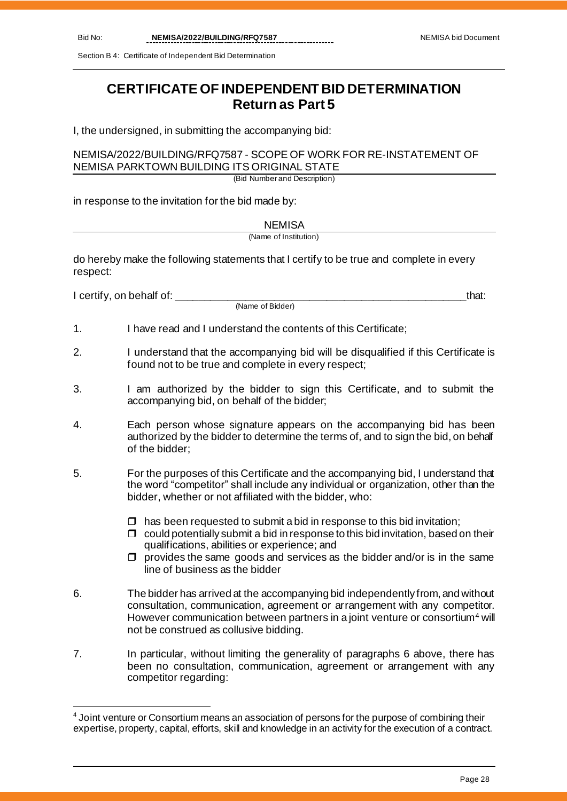Section B 4: Certificate of Independent Bid Determination

# **CERTIFICATE OF INDEPENDENT BID DETERMINATION Return as Part 5**

I, the undersigned, in submitting the accompanying bid:

## NEMISA/2022/BUILDING/RFQ7587 - SCOPE OF WORK FOR RE-INSTATEMENT OF NEMISA PARKTOWN BUILDING ITS ORIGINAL STATE

(Bid Number and Description)

in response to the invitation for the bid made by:

NEMISA

(Name of Institution)

do hereby make the following statements that I certify to be true and complete in every respect:

I certify, on behalf of: \_\_\_\_\_\_\_\_\_\_\_\_\_\_\_\_\_\_\_\_\_\_\_\_\_\_\_\_\_\_\_\_\_\_\_\_\_\_\_\_\_\_\_\_\_\_\_\_\_\_that:

(Name of Bidder)

1. I have read and I understand the contents of this Certificate;

- 2. I understand that the accompanying bid will be disqualified if this Certificate is found not to be true and complete in every respect;
- 3. I am authorized by the bidder to sign this Certificate, and to submit the accompanying bid, on behalf of the bidder;
- 4. Each person whose signature appears on the accompanying bid has been authorized by the bidder to determine the terms of, and to sign the bid, on behalf of the bidder;
- 5. For the purposes of this Certificate and the accompanying bid, I understand that the word "competitor" shall include any individual or organization, other than the bidder, whether or not affiliated with the bidder, who:
	- $\Box$  has been requested to submit a bid in response to this bid invitation;
	- $\Box$  could potentially submit a bid in response to this bid invitation, based on their qualifications, abilities or experience; and
	- $\square$  provides the same goods and services as the bidder and/or is in the same line of business as the bidder
- 6. The bidder has arrived at the accompanying bid independently from, and without consultation, communication, agreement or arrangement with any competitor. However communication between partners in a joint venture or consortium<sup>4</sup> will not be construed as collusive bidding.
- 7. In particular, without limiting the generality of paragraphs 6 above, there has been no consultation, communication, agreement or arrangement with any competitor regarding:

<sup>&</sup>lt;sup>4</sup> Joint venture or Consortium means an association of persons for the purpose of combining their expertise, property, capital, efforts, skill and knowledge in an activity for the execution of a contract.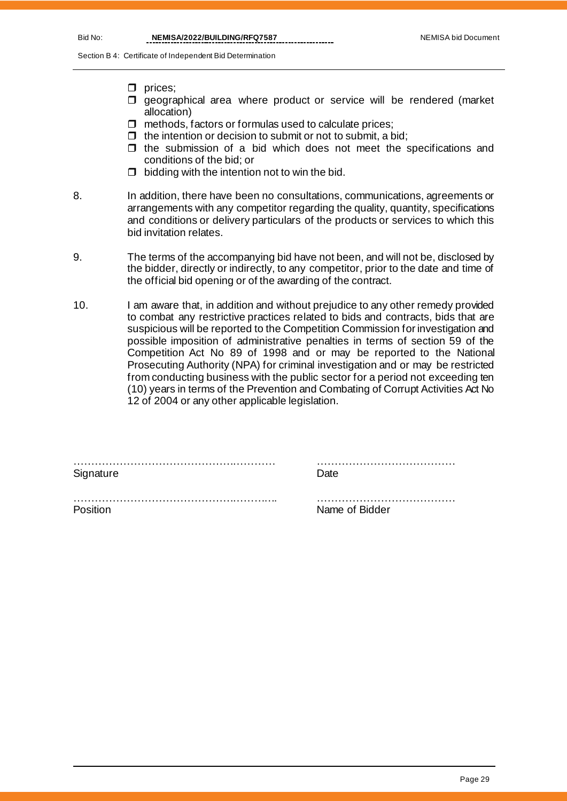Section B 4: Certificate of Independent Bid Determination

- $\Box$  prices;
- $\square$  geographical area where product or service will be rendered (market allocation)
- $\Box$  methods, factors or formulas used to calculate prices;
- $\Box$  the intention or decision to submit or not to submit, a bid;
- $\Box$  the submission of a bid which does not meet the specifications and conditions of the bid; or
- $\Box$  bidding with the intention not to win the bid.
- 8. In addition, there have been no consultations, communications, agreements or arrangements with any competitor regarding the quality, quantity, specifications and conditions or delivery particulars of the products or services to which this bid invitation relates.
- 9. The terms of the accompanying bid have not been, and will not be, disclosed by the bidder, directly or indirectly, to any competitor, prior to the date and time of the official bid opening or of the awarding of the contract.
- 10. I am aware that, in addition and without prejudice to any other remedy provided to combat any restrictive practices related to bids and contracts, bids that are suspicious will be reported to the Competition Commission for investigation and possible imposition of administrative penalties in terms of section 59 of the Competition Act No 89 of 1998 and or may be reported to the National Prosecuting Authority (NPA) for criminal investigation and or may be restricted from conducting business with the public sector for a period not exceeding ten (10) years in terms of the Prevention and Combating of Corrupt Activities Act No 12 of 2004 or any other applicable legislation.

………………………………………………… ………………………………… Signature Date

…………………………………………………. ………………………………… Position **Name of Bidder** Name of Bidder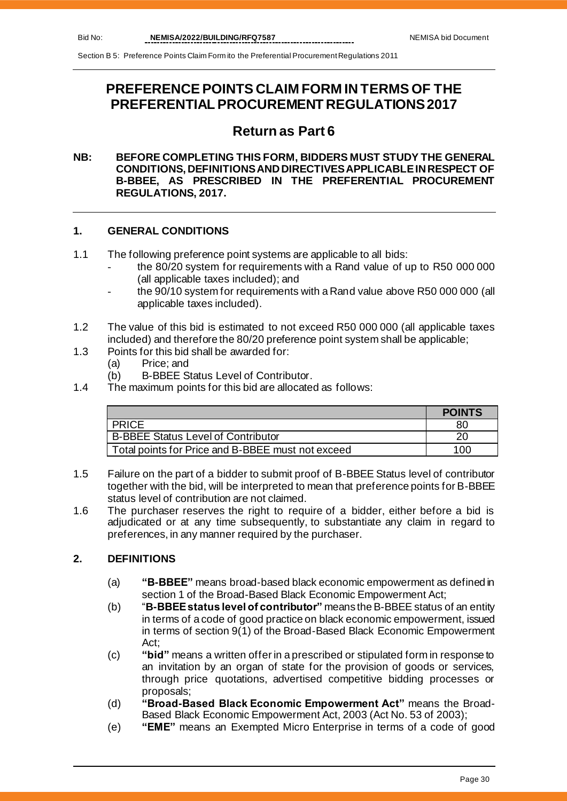# **PREFERENCE POINTS CLAIM FORM IN TERMS OF THE PREFERENTIAL PROCUREMENT REGULATIONS 2017**

# **Return as Part 6**

**NB: BEFORE COMPLETING THIS FORM, BIDDERS MUST STUDY THE GENERAL CONDITIONS, DEFINITIONS AND DIRECTIVES APPLICABLE IN RESPECT OF B-BBEE, AS PRESCRIBED IN THE PREFERENTIAL PROCUREMENT REGULATIONS, 2017.** 

### **1. GENERAL CONDITIONS**

- 1.1 The following preference point systems are applicable to all bids:
	- the 80/20 system for requirements with a Rand value of up to R50 000 000 (all applicable taxes included); and
	- the 90/10 system for requirements with a Rand value above R50 000 000 (all applicable taxes included).
- 1.2 The value of this bid is estimated to not exceed R50 000 000 (all applicable taxes included) and therefore the 80/20 preference point system shall be applicable;
- 1.3 Points for this bid shall be awarded for:
	- (a) Price; and<br>(b) B-BBEE S
	- B-BBEE Status Level of Contributor.
- 1.4 The maximum points for this bid are allocated as follows:

|                                                   | <b>POINTS</b> |
|---------------------------------------------------|---------------|
| PRICE                                             | 80            |
| <b>B-BBEE Status Level of Contributor</b>         | 20            |
| Total points for Price and B-BBEE must not exceed | 100           |

- 1.5 Failure on the part of a bidder to submit proof of B-BBEE Status level of contributor together with the bid, will be interpreted to mean that preference points for B-BBEE status level of contribution are not claimed.
- 1.6 The purchaser reserves the right to require of a bidder, either before a bid is adjudicated or at any time subsequently, to substantiate any claim in regard to preferences, in any manner required by the purchaser.

### **2. DEFINITIONS**

- (a) **"B-BBEE"** means broad-based black economic empowerment as defined in section 1 of the Broad-Based Black Economic Empowerment Act;
- (b) "**B-BBEE status level of contributor"** means the B-BBEE status of an entity in terms of a code of good practice on black economic empowerment, issued in terms of section 9(1) of the Broad-Based Black Economic Empowerment Act;
- (c) **"bid"** means a written offer in a prescribed or stipulated form in response to an invitation by an organ of state for the provision of goods or services, through price quotations, advertised competitive bidding processes or proposals;
- (d) **"Broad-Based Black Economic Empowerment Act"** means the Broad-Based Black Economic Empowerment Act, 2003 (Act No. 53 of 2003);
- (e) **"EME"** means an Exempted Micro Enterprise in terms of a code of good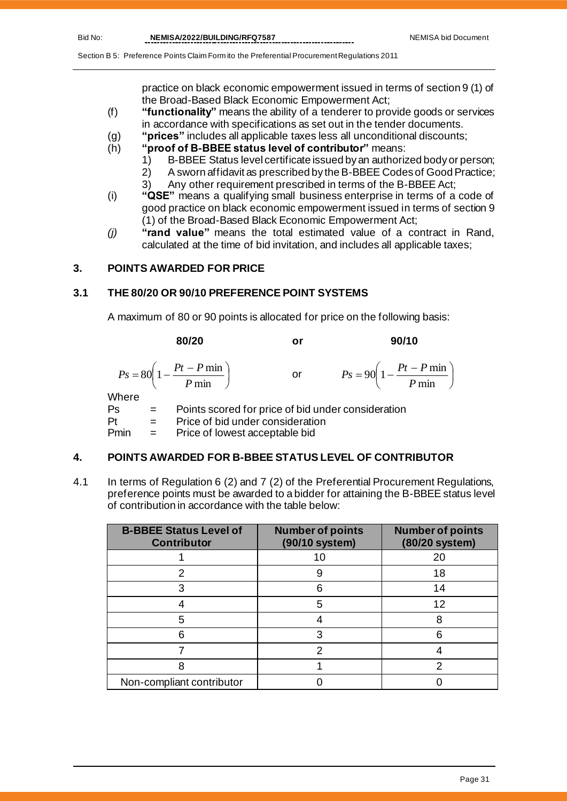practice on black economic empowerment issued in terms of section 9 (1) of the Broad-Based Black Economic Empowerment Act;

- (f) **"functionality"** means the ability of a tenderer to provide goods or services in accordance with specifications as set out in the tender documents.
- (g) **"prices"** includes all applicable taxes less all unconditional discounts;
- (h) **"proof of B-BBEE status level of contributor"** means:
	- 1) B-BBEE Status level certificate issued by an authorized body or person;
	- 2) A sworn affidavit as prescribed by the B-BBEE Codes of Good Practice;
	- 3) Any other requirement prescribed in terms of the B-BBEE Act;
- (i) **"QSE"** means a qualifying small business enterprise in terms of a code of good practice on black economic empowerment issued in terms of section 9 (1) of the Broad-Based Black Economic Empowerment Act;
- *(j)* **"rand value"** means the total estimated value of a contract in Rand, calculated at the time of bid invitation, and includes all applicable taxes;

### **3. POINTS AWARDED FOR PRICE**

### **3.1 THE 80/20 OR 90/10 PREFERENCE POINT SYSTEMS**

A maximum of 80 or 90 points is allocated for price on the following basis:

| 80/20 | or | 90/10 |
|-------|----|-------|
|       |    |       |

| $P_S = 80\left(1 - \frac{Pt - P \min}{\sigma}\right)$<br>$P$ min | $P_S = 90\left(1 - \frac{Pt - P \min}{\sigma}\right)$<br>$\overline{P \min}$ |
|------------------------------------------------------------------|------------------------------------------------------------------------------|
|                                                                  |                                                                              |

Where

 $\begin{array}{rcl}\n\text{Ps} &=& \text{Points scored for price of bid under consideration} \\
\text{Pt} &=& \text{Price of bid under consideration}\n\end{array}$ Pt  $=$  Price of bid under consideration<br>
Pmin  $=$  Price of lowest acceptable bid  $=$  Price of lowest acceptable bid

### **4. POINTS AWARDED FOR B-BBEE STATUS LEVEL OF CONTRIBUTOR**

4.1 In terms of Regulation 6 (2) and 7 (2) of the Preferential Procurement Regulations, preference points must be awarded to a bidder for attaining the B-BBEE status level of contribution in accordance with the table below:

| <b>B-BBEE Status Level of</b><br><b>Contributor</b> | <b>Number of points</b><br>(90/10 system) | <b>Number of points</b><br>(80/20 system) |
|-----------------------------------------------------|-------------------------------------------|-------------------------------------------|
|                                                     | 10                                        | 20                                        |
|                                                     |                                           | 18                                        |
| 3                                                   | հ                                         | 14                                        |
|                                                     | 5                                         | 12                                        |
| 5                                                   |                                           | 8                                         |
|                                                     |                                           |                                           |
|                                                     |                                           |                                           |
|                                                     |                                           | っ                                         |
| Non-compliant contributor                           |                                           |                                           |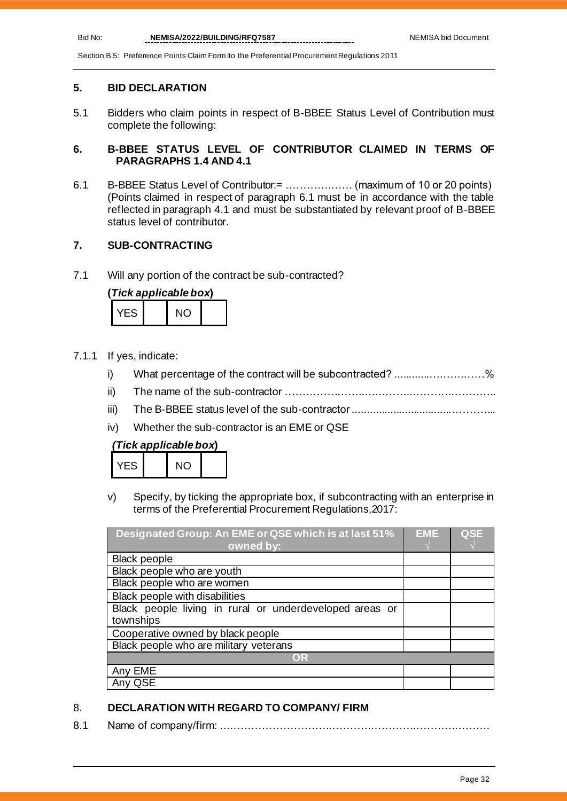### **5. BID DECLARATION**

5.1 Bidders who claim points in respect of B-BBEE Status Level of Contribution must complete the following:

### **6. B-BBEE STATUS LEVEL OF CONTRIBUTOR CLAIMED IN TERMS OF PARAGRAPHS 1.4 AND 4.1**

6.1 B-BBEE Status Level of Contributor:= ………….…… (maximum of 10 or 20 points) (Points claimed in respect of paragraph 6.1 must be in accordance with the table reflected in paragraph 4.1 and must be substantiated by relevant proof of B-BBEE status level of contributor.

### **7. SUB-CONTRACTING**

7.1 Will any portion of the contract be sub-contracted?

| (Tick applicable box) |
|-----------------------|
|                       |
|                       |

|  | ∖ եւ |  |
|--|------|--|

- 7.1.1 If yes, indicate:
	- i) What percentage of the contract will be subcontracted? .........................%
	- ii) The name of the sub-contractor …………………..………….…………………….
	- iii) The B-BBEE status level of the sub-contractor .................................…………..
	- iv) Whether the sub-contractor is an EME or QSE

# *(Tick applicable box***)**

| ES<br>╱∣ | NΟ |  |
|----------|----|--|
|----------|----|--|

v) Specify, by ticking the appropriate box, if subcontracting with an enterprise in terms of the Preferential Procurement Regulations,2017:

| <b>Designated Group: An EME or QSE which is at last 51%</b> | EME | QSE |
|-------------------------------------------------------------|-----|-----|
| owned by:                                                   |     |     |
| <b>Black people</b>                                         |     |     |
| Black people who are youth                                  |     |     |
| Black people who are women                                  |     |     |
| Black people with disabilities                              |     |     |
| Black people living in rural or underdeveloped areas or     |     |     |
| townships                                                   |     |     |
| Cooperative owned by black people                           |     |     |
| Black people who are military veterans                      |     |     |
| OR                                                          |     |     |
| Any EME                                                     |     |     |
| Any QSE                                                     |     |     |

### 8. **DECLARATION WITH REGARD TO COMPANY/ FIRM**

8.1 Name of company/firm: ….……………………………………………………………….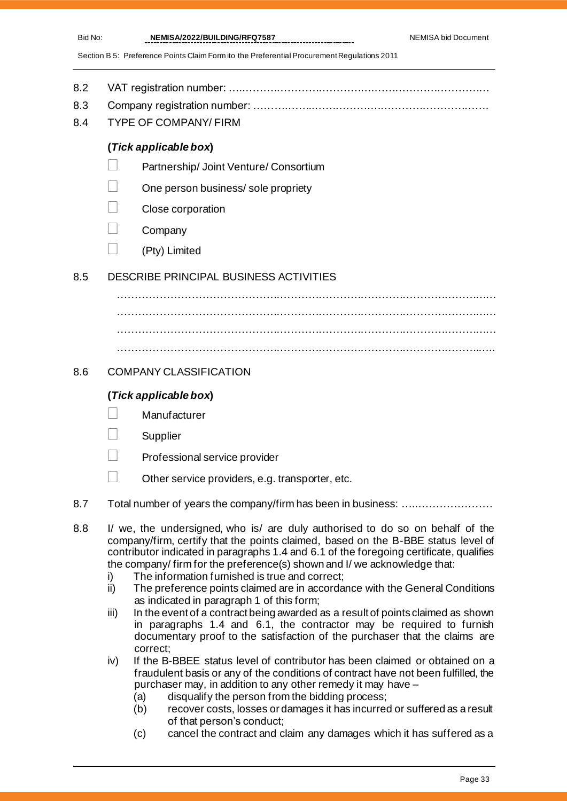- 8.2 VAT registration number: …..……………………………….……………………………
- 8.3 Company registration number: ……….……..…………….…………………………….
- 8.4 TYPE OF COMPANY/ FIRM

### **(***Tick applicable box***)**

- Partnership/ Joint Venture/ Consortium
- One person business/ sole propriety
- Close corporation
- **Company**
- (Pty) Limited

### 8.5 DESCRIBE PRINCIPAL BUSINESS ACTIVITIES

……………………………………………………………………………………………… ……………………………………………………………………………………………… ……………………………………………………………………………………………… ………………………………………………………………………………………….…..

### 8.6 COMPANY CLASSIFICATION

### **(***Tick applicable box***)**

- **Manufacturer**
- **Supplier**
- Professional service provider
- Other service providers, e.g. transporter, etc.
- 8.7 Total number of years the company/firm has been in business: …………………………
- 8.8 I/ we, the undersigned, who is/ are duly authorised to do so on behalf of the company/firm, certify that the points claimed, based on the B-BBE status level of contributor indicated in paragraphs 1.4 and 6.1 of the foregoing certificate, qualifies the company/ firm for the preference(s) shown and I/ we acknowledge that:
	- i) The information furnished is true and correct;
	- ii) The preference points claimed are in accordance with the General Conditions as indicated in paragraph 1 of this form;
	- iii) In the event of a contract being awarded as a result of points claimed as shown in paragraphs 1.4 and 6.1, the contractor may be required to furnish documentary proof to the satisfaction of the purchaser that the claims are correct;
	- iv) If the B-BBEE status level of contributor has been claimed or obtained on a fraudulent basis or any of the conditions of contract have not been fulfilled, the purchaser may, in addition to any other remedy it may have –
		- (a) disqualify the person from the bidding process;
		- (b) recover costs, losses or damages it has incurred or suffered as a result of that person's conduct;
		- (c) cancel the contract and claim any damages which it has suffered as a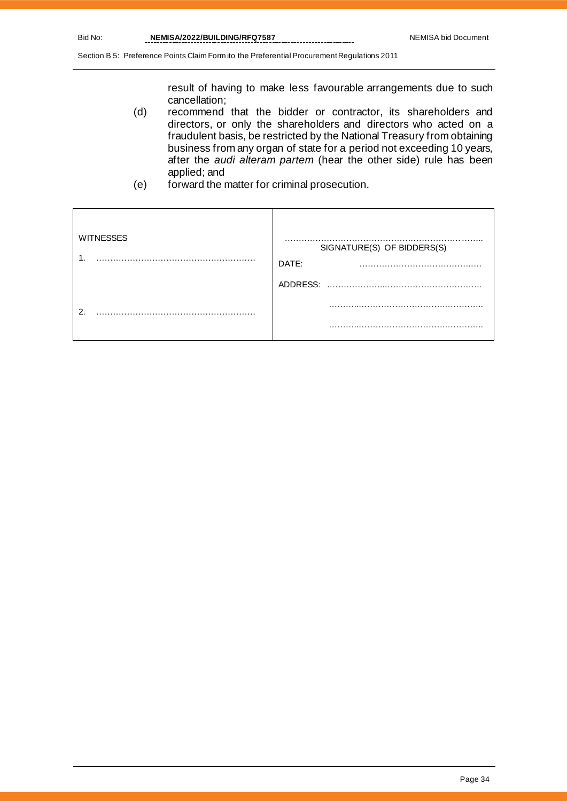result of having to make less favourable arrangements due to such cancellation;

- (d) recommend that the bidder or contractor, its shareholders and directors, or only the shareholders and directors who acted on a fraudulent basis, be restricted by the National Treasury from obtaining business from any organ of state for a period not exceeding 10 years, after the *audi alteram partem* (hear the other side) rule has been applied; and
- (e) forward the matter for criminal prosecution.

| <b>WITNESSES</b> | SIGNATURE(S) OF BIDDERS(S)<br>DATE: |
|------------------|-------------------------------------|
|                  | ADDRESS:                            |
| ົ                | .                                   |
|                  | .                                   |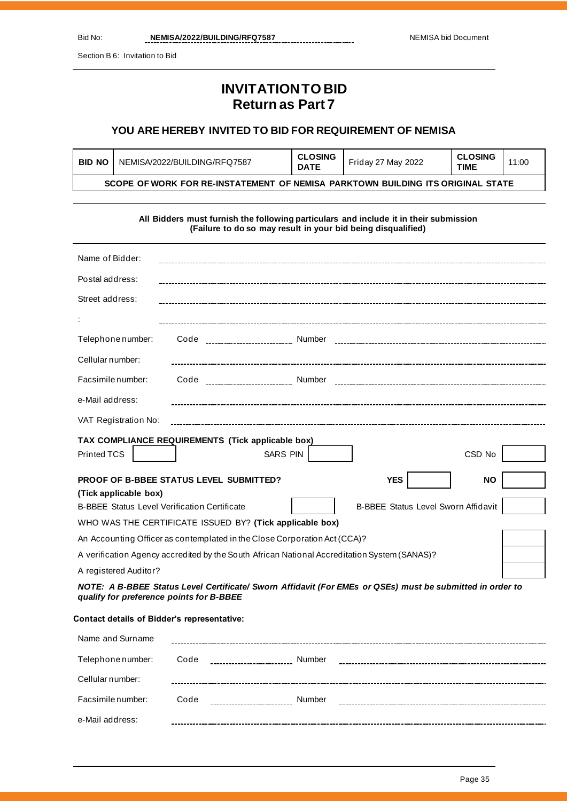Section B 6: Invitation to Bid

# **INVITATION TO BID Return as Part 7**

### **YOU ARE HEREBY INVITED TO BID FOR REQUIREMENT OF NEMISA**

| <b>BID NO</b>                                                                                     |                      | NEMISA/2022/BUILDING/RFQ7587                                                                                                                          | <b>CLOSING</b><br><b>DATE</b> | Friday 27 May 2022 | <b>CLOSING</b><br><b>TIME</b> | 11:00 |
|---------------------------------------------------------------------------------------------------|----------------------|-------------------------------------------------------------------------------------------------------------------------------------------------------|-------------------------------|--------------------|-------------------------------|-------|
|                                                                                                   |                      | SCOPE OF WORK FOR RE-INSTATEMENT OF NEMISA PARKTOWN BUILDING ITS ORIGINAL STATE                                                                       |                               |                    |                               |       |
|                                                                                                   |                      |                                                                                                                                                       |                               |                    |                               |       |
|                                                                                                   |                      | All Bidders must furnish the following particulars and include it in their submission<br>(Failure to do so may result in your bid being disqualified) |                               |                    |                               |       |
| Name of Bidder:                                                                                   |                      |                                                                                                                                                       |                               |                    |                               |       |
| Postal address:                                                                                   |                      |                                                                                                                                                       |                               |                    |                               |       |
| Street address:                                                                                   |                      |                                                                                                                                                       |                               |                    |                               |       |
|                                                                                                   |                      |                                                                                                                                                       |                               |                    |                               |       |
|                                                                                                   | Telephone number:    |                                                                                                                                                       |                               |                    |                               |       |
| Cellular number:                                                                                  |                      |                                                                                                                                                       |                               |                    |                               |       |
| Facsimile number:                                                                                 |                      |                                                                                                                                                       |                               |                    |                               |       |
|                                                                                                   | e-Mail address:      |                                                                                                                                                       |                               |                    |                               |       |
|                                                                                                   | VAT Registration No: |                                                                                                                                                       |                               |                    |                               |       |
| TAX COMPLIANCE REQUIREMENTS (Tick applicable box)                                                 |                      |                                                                                                                                                       |                               |                    |                               |       |
| Printed TCS                                                                                       |                      |                                                                                                                                                       | <b>SARS PIN</b>               |                    | CSD No                        |       |
|                                                                                                   |                      | <b>PROOF OF B-BBEE STATUS LEVEL SUBMITTED?</b>                                                                                                        |                               | <b>YES</b>         | <b>NO</b>                     |       |
| (Tick applicable box)                                                                             |                      |                                                                                                                                                       |                               |                    |                               |       |
| <b>B-BBEE Status Level Verification Certificate</b><br><b>B-BBEE Status Level Sworn Affidavit</b> |                      |                                                                                                                                                       |                               |                    |                               |       |

WHO WAS THE CERTIFICATE ISSUED BY? **(Tick applicable box)**

An Accounting Officer as contemplated in the Close Corporation Act (CCA)?

A verification Agency accredited by the South African National Accreditation System (SANAS)?

A registered Auditor?

*NOTE: A B-BBEE Status Level Certificate/ Sworn Affidavit (For EMEs or QSEs) must be submitted in order to qualify for preference points for B-BBEE*

### **Contact details of Bidder's representative:**

| Name and Surname  |      |        |  |
|-------------------|------|--------|--|
| Telephone number: | Code | Number |  |
| Cellular number:  |      |        |  |
| Facsimile number: | Code | Number |  |
| e-Mail address:   |      |        |  |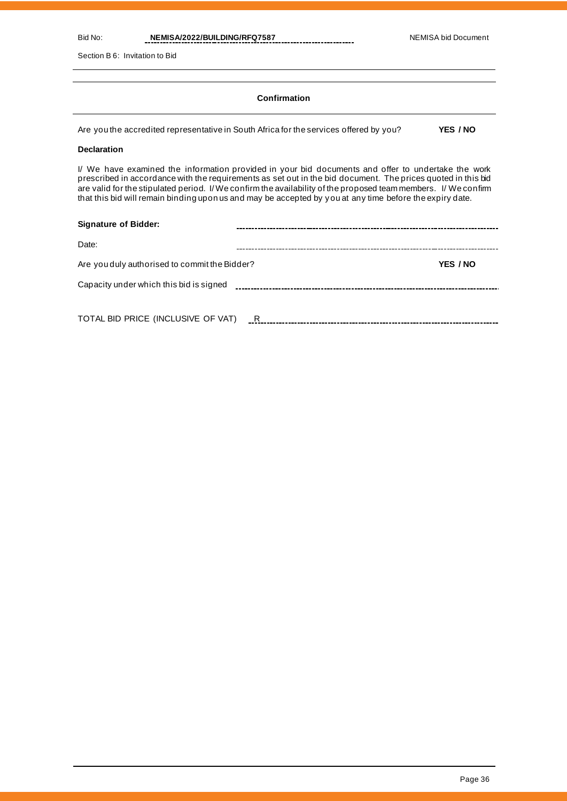Section B 6: Invitation to Bid

### **Confirmation**

Are you the accredited representative in South Africa for the services offered by you? **YES / NO**

### **Declaration**

I/ We have examined the information provided in your bid documents and offer to undertake the work prescribed in accordance with the requirements as set out in the bid document. The prices quoted in this bid are valid for the stipulated period. I/ We confirm the availability of the proposed team members. I/ We confirm that this bid will remain binding upon us and may be accepted by you at any time before the expiry date.

| <b>Signature of Bidder:</b>                   |     |                 |
|-----------------------------------------------|-----|-----------------|
| Date:                                         |     |                 |
| Are you duly authorised to commit the Bidder? |     | <b>YES / NO</b> |
| Capacity under which this bid is signed       |     |                 |
|                                               |     |                 |
| TOTAL BID PRICE (INCLUSIVE OF VAT)            | - R |                 |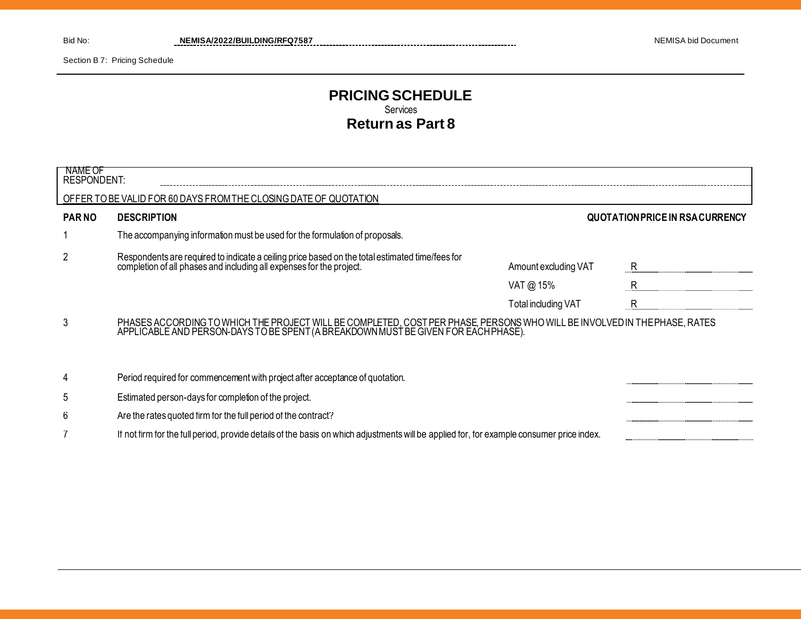Section B 7: Pricing Schedule

# **PRICING SCHEDULE** Services

# **Return as Part 8**

| NAME OF<br><b>RESPONDENT:</b> |                                                                                                                                                                                                                 |                      |                                       |
|-------------------------------|-----------------------------------------------------------------------------------------------------------------------------------------------------------------------------------------------------------------|----------------------|---------------------------------------|
|                               | OFFER TO BE VALID FOR 60 DAYS FROM THE CLOSING DATE OF QUOTATION                                                                                                                                                |                      |                                       |
| <b>PAR NO</b>                 | <b>DESCRIPTION</b>                                                                                                                                                                                              |                      | <b>QUOTATION PRICE IN RSACURRENCY</b> |
|                               | The accompanying information must be used for the formulation of proposals.                                                                                                                                     |                      |                                       |
| 2                             | Respondents are required to indicate a ceiling price based on the total estimated time/fees for completion of all phases and including all expenses for the project.                                            | Amount excluding VAT | R                                     |
|                               |                                                                                                                                                                                                                 | VAT @ $15\%$         | D<br>ĸ                                |
|                               |                                                                                                                                                                                                                 | Total including VAT  | R                                     |
| 3                             | PHASES ACCORDING TO WHICH THE PROJECT WILL BE COMPLETED, COST PER PHASE, PERSONS WHO WILL BE INVOLVED IN THE PHASE, RATES<br>APPLICABLE AND PERSON-DAYS TO BE SPENT (A BREAKDOWN MUST BE GIVEN FOR EACH PHASE). |                      |                                       |
| 4                             | Period required for commencement with project after acceptance of quotation.                                                                                                                                    |                      |                                       |
| 5                             | Estimated person-days for completion of the project.                                                                                                                                                            |                      |                                       |
| 6                             | Are the rates quoted firm for the full period of the contract?                                                                                                                                                  |                      |                                       |
|                               | If not firm for the full period, provide details of the basis on which adjustments will be applied for, for example consumer price index.                                                                       |                      |                                       |